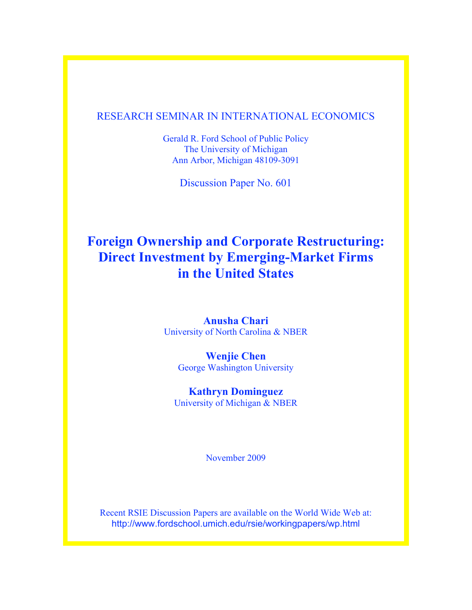# RESEARCH SEMINAR IN INTERNATIONAL ECONOMICS

Gerald R. Ford School of Public Policy The University of Michigan Ann Arbor, Michigan 48109-3091

Discussion Paper No. 601

# **Foreign Ownership and Corporate Restructuring: Direct Investment by Emerging-Market Firms in the United States**

**Anusha Chari** University of North Carolina & NBER

**Wenjie Chen** George Washington University

**Kathryn Dominguez** University of Michigan & NBER

November 2009

Recent RSIE Discussion Papers are available on the World Wide Web at: http://www.fordschool.umich.edu/rsie/workingpapers/wp.html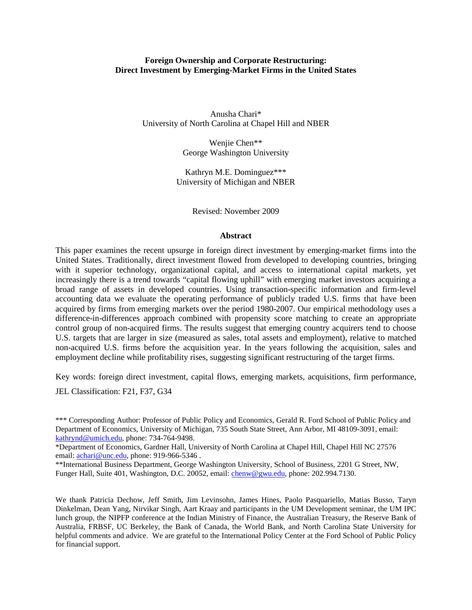## **Foreign Ownership and Corporate Restructuring: Direct Investment by Emerging-Market Firms in the United States**

Anusha Chari\* University of North Carolina at Chapel Hill and NBER

> Wenjie Chen\*\* George Washington University

Kathryn M.E. Dominguez\*\*\* University of Michigan and NBER

Revised: November 2009

#### **Abstract**

This paper examines the recent upsurge in foreign direct investment by emerging-market firms into the United States. Traditionally, direct investment flowed from developed to developing countries, bringing with it superior technology, organizational capital, and access to international capital markets, yet increasingly there is a trend towards "capital flowing uphill" with emerging market investors acquiring a broad range of assets in developed countries. Using transaction-specific information and firm-level accounting data we evaluate the operating performance of publicly traded U.S. firms that have been acquired by firms from emerging markets over the period 1980-2007. Our empirical methodology uses a difference-in-differences approach combined with propensity score matching to create an appropriate control group of non-acquired firms. The results suggest that emerging country acquirers tend to choose U.S. targets that are larger in size (measured as sales, total assets and employment), relative to matched non-acquired U.S. firms before the acquisition year. In the years following the acquisition, sales and employment decline while profitability rises, suggesting significant restructuring of the target firms.

Key words: foreign direct investment, capital flows, emerging markets, acquisitions, firm performance,

JEL Classification: F21, F37, G34

\*Department of Economics, Gardner Hall, University of North Carolina at Chapel Hill, Chapel Hill NC 27576 email: [achari@unc.edu,](mailto:achari@unc.edu) phone: 919-966-5346.

\*\*International Business Department, George Washington University, School of Business, 2201 G Street, NW, Funger Hall, Suite 401, Washington, D.C. 20052, email: [chenw@gwu.edu,](mailto:chenw@gwu.edu) phone: 202.994.7130.

We thank Patricia Dechow, Jeff Smith, Jim Levinsohn, James Hines, Paolo Pasquariello, Matias Busso, Taryn Dinkelman, Dean Yang, Nirvikar Singh, Aart Kraay and participants in the UM Development seminar, the UM IPC lunch group, the NIPFP conference at the Indian Ministry of Finance, the Australian Treasury, the Reserve Bank of Australia, FRBSF, UC Berkeley, the Bank of Canada, the World Bank, and North Carolina State University for helpful comments and advice. We are grateful to the International Policy Center at the Ford School of Public Policy for financial support.

<sup>\*\*\*</sup> Corresponding Author: Professor of Public Policy and Economics, Gerald R. Ford School of Public Policy and Department of Economics, University of Michigan, 735 South State Street, Ann Arbor, MI 48109-3091, email: [kathrynd@umich.edu,](mailto:kathrynd@umich.edu) phone: 734-764-9498.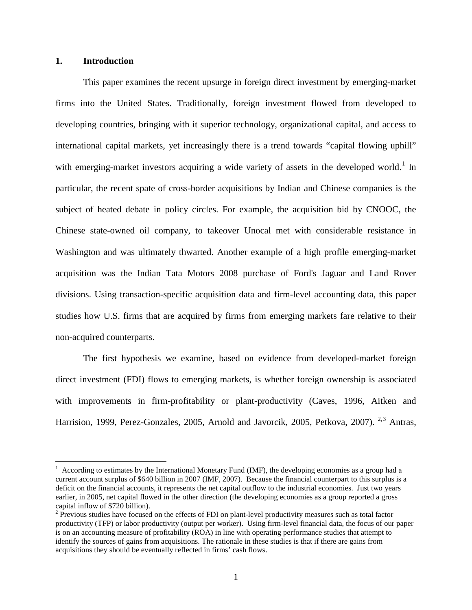# **1. Introduction**

This paper examines the recent upsurge in foreign direct investment by emerging-market firms into the United States. Traditionally, foreign investment flowed from developed to developing countries, bringing with it superior technology, organizational capital, and access to international capital markets, yet increasingly there is a trend towards "capital flowing uphill" with emerging-market investors acquiring a wide variety of assets in the developed world.<sup>[1](#page-2-0)</sup> In particular, the recent spate of cross-border acquisitions by Indian and Chinese companies is the subject of heated debate in policy circles. For example, the acquisition bid by CNOOC, the Chinese state-owned oil company, to takeover Unocal met with considerable resistance in Washington and was ultimately thwarted. Another example of a high profile emerging-market acquisition was the Indian Tata Motors 2008 purchase of Ford's Jaguar and Land Rover divisions. Using transaction-specific acquisition data and firm-level accounting data, this paper studies how U.S. firms that are acquired by firms from emerging markets fare relative to their non-acquired counterparts.

The first hypothesis we examine, based on evidence from developed-market foreign direct investment (FDI) flows to emerging markets, is whether foreign ownership is associated with improvements in firm-profitability or plant-productivity (Caves, 1996, Aitken and Harrision, 1999, Perez-Gonzales, [2](#page-2-1)005, Arnold and Javorcik, 2005, Petkova, 2007). <sup>2,[3](#page-2-2)</sup> Antras,

<span id="page-2-2"></span><span id="page-2-0"></span> $1$  According to estimates by the International Monetary Fund (IMF), the developing economies as a group had a current account surplus of \$640 billion in 2007 (IMF, 2007). Because the financial counterpart to this surplus is a deficit on the financial accounts, it represents the net capital outflow to the industrial economies. Just two years earlier, in 2005, net capital flowed in the other direction (the developing economies as a group reported a gross capital inflow of \$720 billion).

<span id="page-2-1"></span><sup>&</sup>lt;sup>2</sup> Previous studies have focused on the effects of FDI on plant-level productivity measures such as total factor productivity (TFP) or labor productivity (output per worker). Using firm-level financial data, the focus of our paper is on an accounting measure of profitability (ROA) in line with operating performance studies that attempt to identify the sources of gains from acquisitions. The rationale in these studies is that if there are gains from acquisitions they should be eventually reflected in firms' cash flows.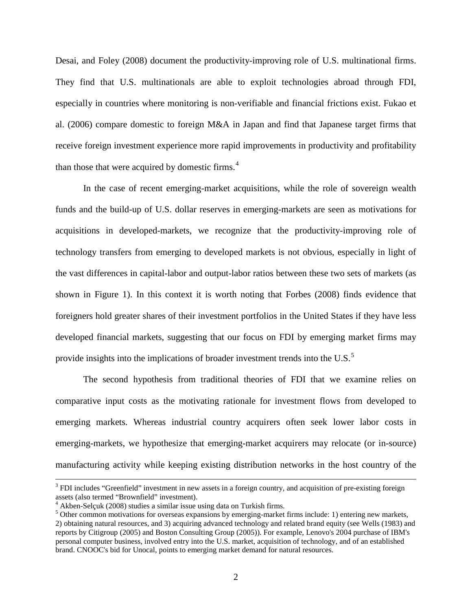Desai, and Foley (2008) document the productivity-improving role of U.S. multinational firms. They find that U.S. multinationals are able to exploit technologies abroad through FDI, especially in countries where monitoring is non-verifiable and financial frictions exist. Fukao et al. (2006) compare domestic to foreign M&A in Japan and find that Japanese target firms that receive foreign investment experience more rapid improvements in productivity and profitability than those that were acquired by domestic firms. $4$ 

In the case of recent emerging-market acquisitions, while the role of sovereign wealth funds and the build-up of U.S. dollar reserves in emerging-markets are seen as motivations for acquisitions in developed-markets, we recognize that the productivity-improving role of technology transfers from emerging to developed markets is not obvious, especially in light of the vast differences in capital-labor and output-labor ratios between these two sets of markets (as shown in Figure 1). In this context it is worth noting that Forbes (2008) finds evidence that foreigners hold greater shares of their investment portfolios in the United States if they have less developed financial markets, suggesting that our focus on FDI by emerging market firms may provide insights into the implications of broader investment trends into the U.S. $^5$  $^5$ 

The second hypothesis from traditional theories of FDI that we examine relies on comparative input costs as the motivating rationale for investment flows from developed to emerging markets. Whereas industrial country acquirers often seek lower labor costs in emerging-markets, we hypothesize that emerging-market acquirers may relocate (or in-source) manufacturing activity while keeping existing distribution networks in the host country of the

<sup>&</sup>lt;sup>3</sup> FDI includes "Greenfield" investment in new assets in a foreign country, and acquisition of pre-existing foreign assets (also termed "Brownfield" investment).<br><sup>4</sup> Akben-Selcuk (2008) studies a similar issue using data on Turkish firms.

<span id="page-3-0"></span>

<span id="page-3-1"></span> $<sup>5</sup>$  Other common motivations for overseas expansions by emerging-market firms include: 1) entering new markets,</sup> 2) obtaining natural resources, and 3) acquiring advanced technology and related brand equity (see Wells (1983) and reports by Citigroup (2005) and Boston Consulting Group (2005)). For example, Lenovo's 2004 purchase of IBM's personal computer business, involved entry into the U.S. market, acquisition of technology, and of an established brand. CNOOC's bid for Unocal, points to emerging market demand for natural resources.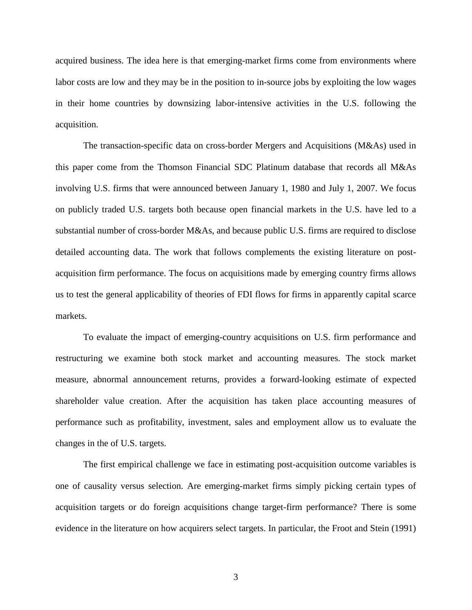acquired business. The idea here is that emerging-market firms come from environments where labor costs are low and they may be in the position to in-source jobs by exploiting the low wages in their home countries by downsizing labor-intensive activities in the U.S. following the acquisition.

The transaction-specific data on cross-border Mergers and Acquisitions (M&As) used in this paper come from the Thomson Financial SDC Platinum database that records all M&As involving U.S. firms that were announced between January 1, 1980 and July 1, 2007. We focus on publicly traded U.S. targets both because open financial markets in the U.S. have led to a substantial number of cross-border M&As, and because public U.S. firms are required to disclose detailed accounting data. The work that follows complements the existing literature on postacquisition firm performance. The focus on acquisitions made by emerging country firms allows us to test the general applicability of theories of FDI flows for firms in apparently capital scarce markets.

To evaluate the impact of emerging-country acquisitions on U.S. firm performance and restructuring we examine both stock market and accounting measures. The stock market measure, abnormal announcement returns, provides a forward-looking estimate of expected shareholder value creation. After the acquisition has taken place accounting measures of performance such as profitability, investment, sales and employment allow us to evaluate the changes in the of U.S. targets.

The first empirical challenge we face in estimating post-acquisition outcome variables is one of causality versus selection. Are emerging-market firms simply picking certain types of acquisition targets or do foreign acquisitions change target-firm performance? There is some evidence in the literature on how acquirers select targets. In particular, the Froot and Stein (1991)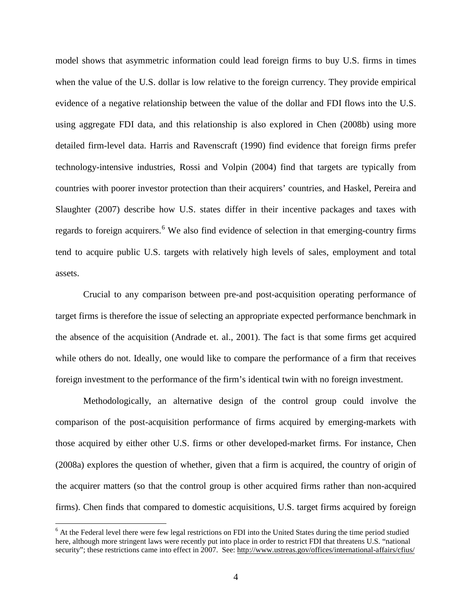model shows that asymmetric information could lead foreign firms to buy U.S. firms in times when the value of the U.S. dollar is low relative to the foreign currency. They provide empirical evidence of a negative relationship between the value of the dollar and FDI flows into the U.S. using aggregate FDI data, and this relationship is also explored in Chen (2008b) using more detailed firm-level data. Harris and Ravenscraft (1990) find evidence that foreign firms prefer technology-intensive industries, Rossi and Volpin (2004) find that targets are typically from countries with poorer investor protection than their acquirers' countries, and Haskel, Pereira and Slaughter (2007) describe how U.S. states differ in their incentive packages and taxes with regards to foreign acquirers.<sup>[6](#page-5-0)</sup> We also find evidence of selection in that emerging-country firms tend to acquire public U.S. targets with relatively high levels of sales, employment and total assets.

Crucial to any comparison between pre-and post-acquisition operating performance of target firms is therefore the issue of selecting an appropriate expected performance benchmark in the absence of the acquisition (Andrade et. al., 2001). The fact is that some firms get acquired while others do not. Ideally, one would like to compare the performance of a firm that receives foreign investment to the performance of the firm's identical twin with no foreign investment.

Methodologically, an alternative design of the control group could involve the comparison of the post-acquisition performance of firms acquired by emerging-markets with those acquired by either other U.S. firms or other developed-market firms. For instance, Chen (2008a) explores the question of whether, given that a firm is acquired, the country of origin of the acquirer matters (so that the control group is other acquired firms rather than non-acquired firms). Chen finds that compared to domestic acquisitions, U.S. target firms acquired by foreign

<span id="page-5-0"></span> $6$  At the Federal level there were few legal restrictions on FDI into the United States during the time period studied here, although more stringent laws were recently put into place in order to restrict FDI that threatens U.S. "national security"; these restrictions came into effect in 2007. See:<http://www.ustreas.gov/offices/international-affairs/cfius/>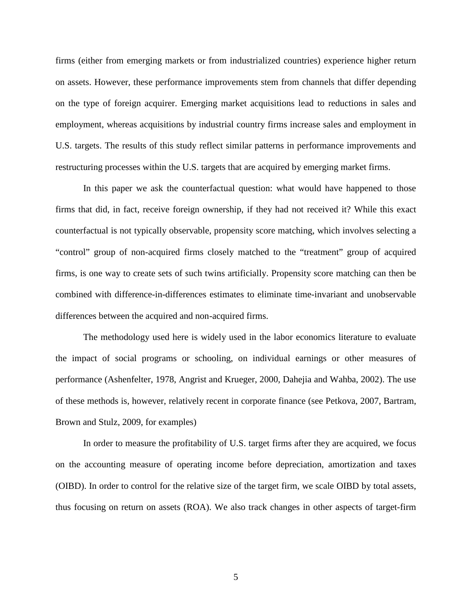firms (either from emerging markets or from industrialized countries) experience higher return on assets. However, these performance improvements stem from channels that differ depending on the type of foreign acquirer. Emerging market acquisitions lead to reductions in sales and employment, whereas acquisitions by industrial country firms increase sales and employment in U.S. targets. The results of this study reflect similar patterns in performance improvements and restructuring processes within the U.S. targets that are acquired by emerging market firms.

In this paper we ask the counterfactual question: what would have happened to those firms that did, in fact, receive foreign ownership, if they had not received it? While this exact counterfactual is not typically observable, propensity score matching, which involves selecting a "control" group of non-acquired firms closely matched to the "treatment" group of acquired firms, is one way to create sets of such twins artificially. Propensity score matching can then be combined with difference-in-differences estimates to eliminate time-invariant and unobservable differences between the acquired and non-acquired firms.

The methodology used here is widely used in the labor economics literature to evaluate the impact of social programs or schooling, on individual earnings or other measures of performance (Ashenfelter, 1978, Angrist and Krueger, 2000, Dahejia and Wahba, 2002). The use of these methods is, however, relatively recent in corporate finance (see Petkova, 2007, Bartram, Brown and Stulz, 2009, for examples)

In order to measure the profitability of U.S. target firms after they are acquired, we focus on the accounting measure of operating income before depreciation, amortization and taxes (OIBD). In order to control for the relative size of the target firm, we scale OIBD by total assets, thus focusing on return on assets (ROA). We also track changes in other aspects of target-firm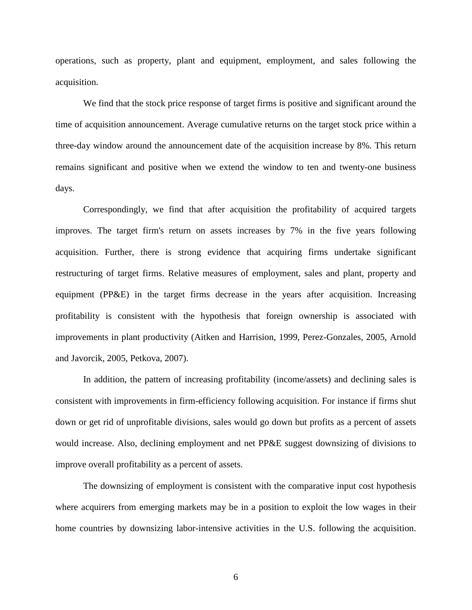operations, such as property, plant and equipment, employment, and sales following the acquisition.

We find that the stock price response of target firms is positive and significant around the time of acquisition announcement. Average cumulative returns on the target stock price within a three-day window around the announcement date of the acquisition increase by 8%. This return remains significant and positive when we extend the window to ten and twenty-one business days.

Correspondingly, we find that after acquisition the profitability of acquired targets improves. The target firm's return on assets increases by 7% in the five years following acquisition. Further, there is strong evidence that acquiring firms undertake significant restructuring of target firms. Relative measures of employment, sales and plant, property and equipment (PP&E) in the target firms decrease in the years after acquisition. Increasing profitability is consistent with the hypothesis that foreign ownership is associated with improvements in plant productivity (Aitken and Harrision, 1999, Perez-Gonzales, 2005, Arnold and Javorcik, 2005, Petkova, 2007).

In addition, the pattern of increasing profitability (income/assets) and declining sales is consistent with improvements in firm-efficiency following acquisition. For instance if firms shut down or get rid of unprofitable divisions, sales would go down but profits as a percent of assets would increase. Also, declining employment and net PP&E suggest downsizing of divisions to improve overall profitability as a percent of assets.

The downsizing of employment is consistent with the comparative input cost hypothesis where acquirers from emerging markets may be in a position to exploit the low wages in their home countries by downsizing labor-intensive activities in the U.S. following the acquisition.

6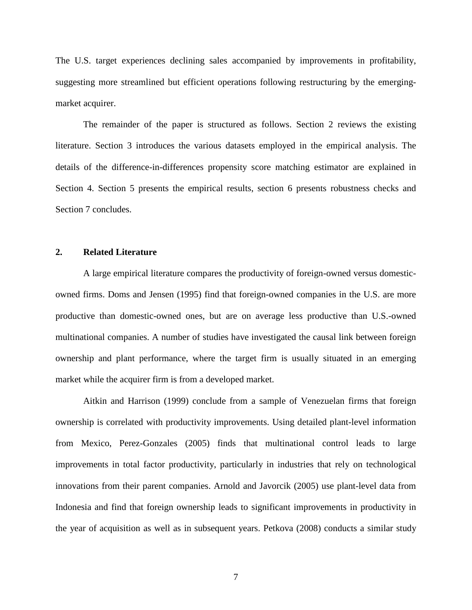The U.S. target experiences declining sales accompanied by improvements in profitability, suggesting more streamlined but efficient operations following restructuring by the emergingmarket acquirer.

The remainder of the paper is structured as follows. Section 2 reviews the existing literature. Section 3 introduces the various datasets employed in the empirical analysis. The details of the difference-in-differences propensity score matching estimator are explained in Section 4. Section 5 presents the empirical results, section 6 presents robustness checks and Section 7 concludes.

# **2. Related Literature**

A large empirical literature compares the productivity of foreign-owned versus domesticowned firms. Doms and Jensen (1995) find that foreign-owned companies in the U.S. are more productive than domestic-owned ones, but are on average less productive than U.S.-owned multinational companies. A number of studies have investigated the causal link between foreign ownership and plant performance, where the target firm is usually situated in an emerging market while the acquirer firm is from a developed market.

Aitkin and Harrison (1999) conclude from a sample of Venezuelan firms that foreign ownership is correlated with productivity improvements. Using detailed plant-level information from Mexico, Perez-Gonzales (2005) finds that multinational control leads to large improvements in total factor productivity, particularly in industries that rely on technological innovations from their parent companies. Arnold and Javorcik (2005) use plant-level data from Indonesia and find that foreign ownership leads to significant improvements in productivity in the year of acquisition as well as in subsequent years. Petkova (2008) conducts a similar study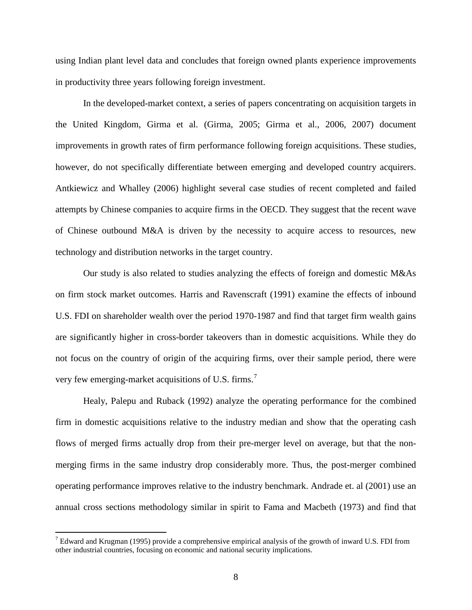using Indian plant level data and concludes that foreign owned plants experience improvements in productivity three years following foreign investment.

In the developed-market context, a series of papers concentrating on acquisition targets in the United Kingdom, Girma et al. (Girma, 2005; Girma et al., 2006, 2007) document improvements in growth rates of firm performance following foreign acquisitions. These studies, however, do not specifically differentiate between emerging and developed country acquirers. Antkiewicz and Whalley (2006) highlight several case studies of recent completed and failed attempts by Chinese companies to acquire firms in the OECD. They suggest that the recent wave of Chinese outbound M&A is driven by the necessity to acquire access to resources, new technology and distribution networks in the target country.

Our study is also related to studies analyzing the effects of foreign and domestic M&As on firm stock market outcomes. Harris and Ravenscraft (1991) examine the effects of inbound U.S. FDI on shareholder wealth over the period 1970-1987 and find that target firm wealth gains are significantly higher in cross-border takeovers than in domestic acquisitions. While they do not focus on the country of origin of the acquiring firms, over their sample period, there were very few emerging-market acquisitions of U.S. firms.<sup>[7](#page-9-0)</sup>

Healy, Palepu and Ruback (1992) analyze the operating performance for the combined firm in domestic acquisitions relative to the industry median and show that the operating cash flows of merged firms actually drop from their pre-merger level on average, but that the nonmerging firms in the same industry drop considerably more. Thus, the post-merger combined operating performance improves relative to the industry benchmark. Andrade et. al (2001) use an annual cross sections methodology similar in spirit to Fama and Macbeth (1973) and find that

<span id="page-9-0"></span><sup>&</sup>lt;sup>7</sup> Edward and Krugman (1995) provide a comprehensive empirical analysis of the growth of inward U.S. FDI from other industrial countries, focusing on economic and national security implications.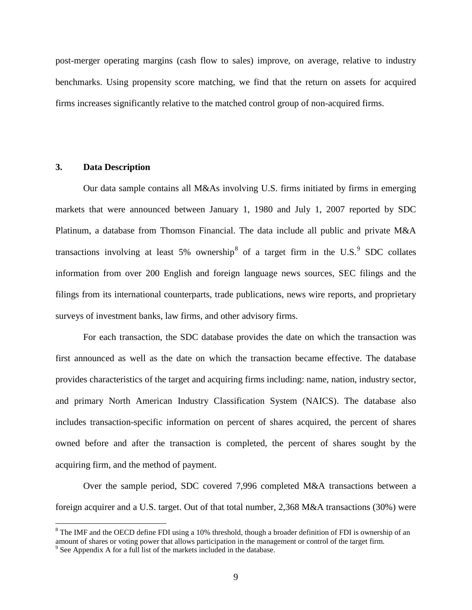post-merger operating margins (cash flow to sales) improve, on average, relative to industry benchmarks. Using propensity score matching, we find that the return on assets for acquired firms increases significantly relative to the matched control group of non-acquired firms.

# **3. Data Description**

Our data sample contains all M&As involving U.S. firms initiated by firms in emerging markets that were announced between January 1, 1980 and July 1, 2007 reported by SDC Platinum, a database from Thomson Financial. The data include all public and private M&A transactions involving at least 5% ownership<sup>[8](#page-10-0)</sup> of a target firm in the U.S.<sup>[9](#page-10-1)</sup> SDC collates information from over 200 English and foreign language news sources, SEC filings and the filings from its international counterparts, trade publications, news wire reports, and proprietary surveys of investment banks, law firms, and other advisory firms.

For each transaction, the SDC database provides the date on which the transaction was first announced as well as the date on which the transaction became effective. The database provides characteristics of the target and acquiring firms including: name, nation, industry sector, and primary North American Industry Classification System (NAICS). The database also includes transaction-specific information on percent of shares acquired, the percent of shares owned before and after the transaction is completed, the percent of shares sought by the acquiring firm, and the method of payment.

Over the sample period, SDC covered 7,996 completed M&A transactions between a foreign acquirer and a U.S. target. Out of that total number, 2,368 M&A transactions (30%) were

<span id="page-10-0"></span><sup>&</sup>lt;sup>8</sup> The IMF and the OECD define FDI using a 10% threshold, though a broader definition of FDI is ownership of an amount of shares or voting power that allows participation in the management or control of the target firm.<br><sup>9</sup> See Appendix A for a full list of the markets included in the database.

<span id="page-10-1"></span>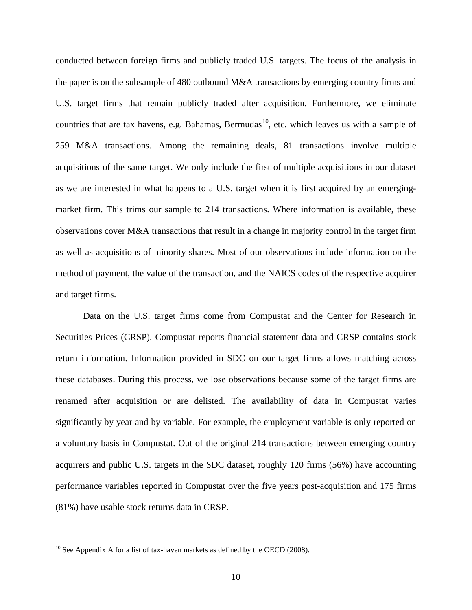conducted between foreign firms and publicly traded U.S. targets. The focus of the analysis in the paper is on the subsample of 480 outbound M&A transactions by emerging country firms and U.S. target firms that remain publicly traded after acquisition. Furthermore, we eliminate countries that are tax havens, e.g. Bahamas, Bermudas<sup>[10](#page-11-0)</sup>, etc. which leaves us with a sample of 259 M&A transactions. Among the remaining deals, 81 transactions involve multiple acquisitions of the same target. We only include the first of multiple acquisitions in our dataset as we are interested in what happens to a U.S. target when it is first acquired by an emergingmarket firm. This trims our sample to 214 transactions. Where information is available, these observations cover M&A transactions that result in a change in majority control in the target firm as well as acquisitions of minority shares. Most of our observations include information on the method of payment, the value of the transaction, and the NAICS codes of the respective acquirer and target firms.

Data on the U.S. target firms come from Compustat and the Center for Research in Securities Prices (CRSP). Compustat reports financial statement data and CRSP contains stock return information. Information provided in SDC on our target firms allows matching across these databases. During this process, we lose observations because some of the target firms are renamed after acquisition or are delisted. The availability of data in Compustat varies significantly by year and by variable. For example, the employment variable is only reported on a voluntary basis in Compustat. Out of the original 214 transactions between emerging country acquirers and public U.S. targets in the SDC dataset, roughly 120 firms (56%) have accounting performance variables reported in Compustat over the five years post-acquisition and 175 firms (81%) have usable stock returns data in CRSP.

<span id="page-11-0"></span> $10$  See Appendix A for a list of tax-haven markets as defined by the OECD (2008).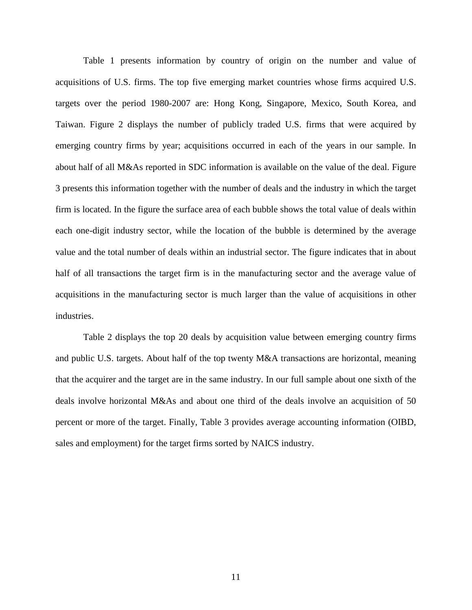Table 1 presents information by country of origin on the number and value of acquisitions of U.S. firms. The top five emerging market countries whose firms acquired U.S. targets over the period 1980-2007 are: Hong Kong, Singapore, Mexico, South Korea, and Taiwan. Figure 2 displays the number of publicly traded U.S. firms that were acquired by emerging country firms by year; acquisitions occurred in each of the years in our sample. In about half of all M&As reported in SDC information is available on the value of the deal. Figure 3 presents this information together with the number of deals and the industry in which the target firm is located. In the figure the surface area of each bubble shows the total value of deals within each one-digit industry sector, while the location of the bubble is determined by the average value and the total number of deals within an industrial sector. The figure indicates that in about half of all transactions the target firm is in the manufacturing sector and the average value of acquisitions in the manufacturing sector is much larger than the value of acquisitions in other industries.

Table 2 displays the top 20 deals by acquisition value between emerging country firms and public U.S. targets. About half of the top twenty M&A transactions are horizontal, meaning that the acquirer and the target are in the same industry. In our full sample about one sixth of the deals involve horizontal M&As and about one third of the deals involve an acquisition of 50 percent or more of the target. Finally, Table 3 provides average accounting information (OIBD, sales and employment) for the target firms sorted by NAICS industry.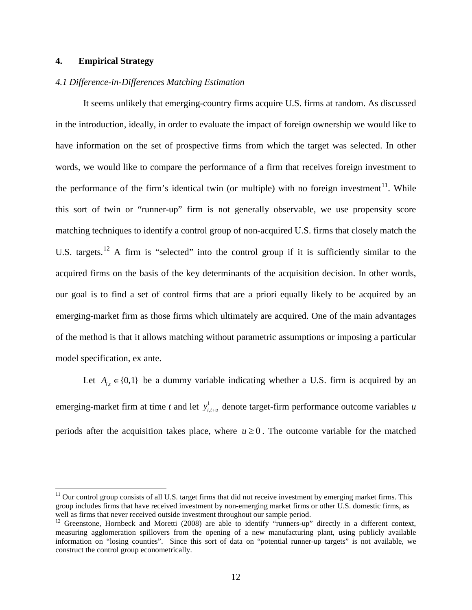# **4. Empirical Strategy**

# *4.1 Difference-in-Differences Matching Estimation*

It seems unlikely that emerging-country firms acquire U.S. firms at random. As discussed in the introduction, ideally, in order to evaluate the impact of foreign ownership we would like to have information on the set of prospective firms from which the target was selected. In other words, we would like to compare the performance of a firm that receives foreign investment to the performance of the firm's identical twin (or multiple) with no foreign investment $^{11}$  $^{11}$  $^{11}$ . While this sort of twin or "runner-up" firm is not generally observable, we use propensity score matching techniques to identify a control group of non-acquired U.S. firms that closely match the U.S. targets.<sup>[12](#page-13-1)</sup> A firm is "selected" into the control group if it is sufficiently similar to the acquired firms on the basis of the key determinants of the acquisition decision. In other words, our goal is to find a set of control firms that are a priori equally likely to be acquired by an emerging-market firm as those firms which ultimately are acquired. One of the main advantages of the method is that it allows matching without parametric assumptions or imposing a particular model specification, ex ante.

Let  $A_{i,t} \in \{0,1\}$  be a dummy variable indicating whether a U.S. firm is acquired by an emerging-market firm at time *t* and let  $y_{i,t+u}^1$  denote target-firm performance outcome variables *u* periods after the acquisition takes place, where  $u \ge 0$ . The outcome variable for the matched

<span id="page-13-0"></span> $11$  Our control group consists of all U.S. target firms that did not receive investment by emerging market firms. This group includes firms that have received investment by non-emerging market firms or other U.S. domestic firms, as well as firms that never received outside investment throughout our sample period.

<span id="page-13-1"></span><sup>&</sup>lt;sup>12</sup> Greenstone, Hornbeck and Moretti (2008) are able to identify "runners-up" directly in a different context, measuring agglomeration spillovers from the opening of a new manufacturing plant, using publicly available information on "losing counties". Since this sort of data on "potential runner-up targets" is not available, we construct the control group econometrically.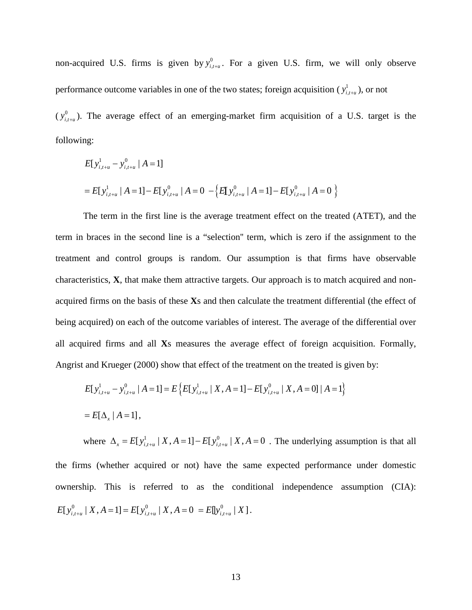non-acquired U.S. firms is given by  $y_{i,t+u}^0$ . For a given U.S. firm, we will only observe performance outcome variables in one of the two states; foreign acquisition ( $y_{i,t+u}^1$ ), or not

 $(y_{i,t+u}^0)$ . The average effect of an emerging-market firm acquisition of a U.S. target is the following:

$$
E[y_{i,t+u}^{1} - y_{i,t+u}^{0} | A = 1]
$$
  
=  $E[y_{i,t+u}^{1} | A = 1] - E[y_{i,t+u}^{0} | A = 0 - \{E[y_{i,t+u}^{0} | A = 1] - E[y_{i,t+u}^{0} | A = 0 \}$ 

The term in the first line is the average treatment effect on the treated (ATET), and the term in braces in the second line is a "selection'' term, which is zero if the assignment to the treatment and control groups is random. Our assumption is that firms have observable characteristics, **X**, that make them attractive targets. Our approach is to match acquired and nonacquired firms on the basis of these **X**s and then calculate the treatment differential (the effect of being acquired) on each of the outcome variables of interest. The average of the differential over all acquired firms and all **X**s measures the average effect of foreign acquisition. Formally, Angrist and Krueger (2000) show that effect of the treatment on the treated is given by:

$$
E[y_{i,t+u}^1 - y_{i,t+u}^0 | A = 1] = E\left\{E[y_{i,t+u}^1 | X, A = 1] - E[y_{i,t+u}^0 | X, A = 0] | A = 1\right\}
$$
  
=  $E[\Delta_x | A = 1]$ ,

where  $\Delta_x = E[y_{i,t+u}^1 | X, A = 1] - E[y_{i,t+u}^0 | X, A = 0]$ . The underlying assumption is that all the firms (whether acquired or not) have the same expected performance under domestic ownership. This is referred to as the conditional independence assumption (CIA):  $E[y_{i,t+u}^0 \mid X, A = 1] = E[y_{i,t+u}^0 \mid X, A = 0] = E[y_{i,t+u}^0 \mid X]$ .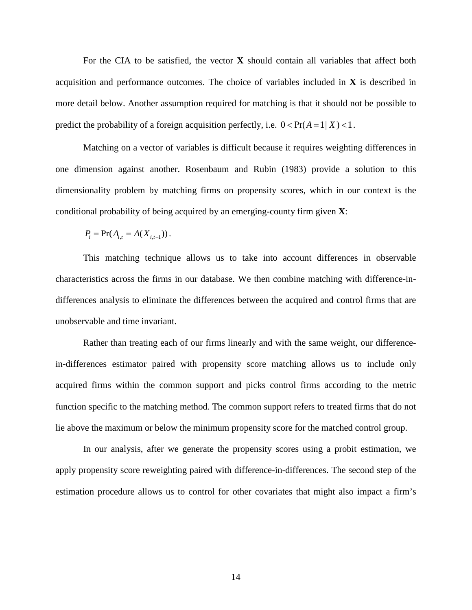For the CIA to be satisfied, the vector **X** should contain all variables that affect both acquisition and performance outcomes. The choice of variables included in **X** is described in more detail below. Another assumption required for matching is that it should not be possible to predict the probability of a foreign acquisition perfectly, i.e.  $0 < Pr(A = 1 | X) < 1$ .

Matching on a vector of variables is difficult because it requires weighting differences in one dimension against another. Rosenbaum and Rubin (1983) provide a solution to this dimensionality problem by matching firms on propensity scores, which in our context is the conditional probability of being acquired by an emerging-county firm given **X**:

$$
P_i = \Pr(A_{i,t} = A(X_{i,t-1})).
$$

This matching technique allows us to take into account differences in observable characteristics across the firms in our database. We then combine matching with difference-indifferences analysis to eliminate the differences between the acquired and control firms that are unobservable and time invariant.

Rather than treating each of our firms linearly and with the same weight, our differencein-differences estimator paired with propensity score matching allows us to include only acquired firms within the common support and picks control firms according to the metric function specific to the matching method. The common support refers to treated firms that do not lie above the maximum or below the minimum propensity score for the matched control group.

In our analysis, after we generate the propensity scores using a probit estimation, we apply propensity score reweighting paired with difference-in-differences. The second step of the estimation procedure allows us to control for other covariates that might also impact a firm's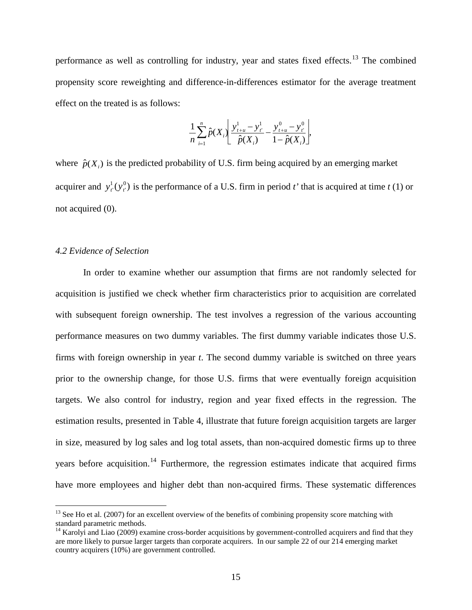performance as well as controlling for industry, year and states fixed effects.<sup>[13](#page-16-0)</sup> The combined propensity score reweighting and difference-in-differences estimator for the average treatment effect on the treated is as follows:

$$
\frac{1}{n}\sum_{i=1}^n \hat{p}(X_i)\left[\frac{y_{t+u}^1 - y_{t'}^1}{\hat{p}(X_i)} - \frac{y_{t+u}^0 - y_{t'}^0}{1 - \hat{p}(X_i)}\right],
$$

where  $\hat{p}(X_i)$  is the predicted probability of U.S. firm being acquired by an emerging market acquirer and  $y_r^1(y_r^0)$  is the performance of a U.S. firm in period *t*' that is acquired at time *t* (1) or not acquired (0).

# *4.2 Evidence of Selection*

In order to examine whether our assumption that firms are not randomly selected for acquisition is justified we check whether firm characteristics prior to acquisition are correlated with subsequent foreign ownership. The test involves a regression of the various accounting performance measures on two dummy variables. The first dummy variable indicates those U.S. firms with foreign ownership in year *t*. The second dummy variable is switched on three years prior to the ownership change, for those U.S. firms that were eventually foreign acquisition targets. We also control for industry, region and year fixed effects in the regression. The estimation results, presented in Table 4, illustrate that future foreign acquisition targets are larger in size, measured by log sales and log total assets, than non-acquired domestic firms up to three years before acquisition.<sup>[14](#page-16-1)</sup> Furthermore, the regression estimates indicate that acquired firms have more employees and higher debt than non-acquired firms. These systematic differences

<span id="page-16-0"></span> $13$  See Ho et al. (2007) for an excellent overview of the benefits of combining propensity score matching with standard parametric methods.

<span id="page-16-1"></span><sup>&</sup>lt;sup>14</sup> Karolyi and Liao (2009) examine cross-border acquisitions by government-controlled acquirers and find that they are more likely to pursue larger targets than corporate acquirers. In our sample 22 of our 214 emerging market country acquirers (10%) are government controlled.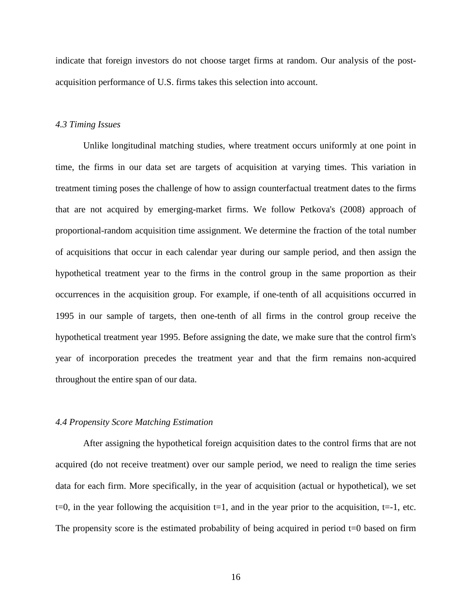indicate that foreign investors do not choose target firms at random. Our analysis of the postacquisition performance of U.S. firms takes this selection into account.

# *4.3 Timing Issues*

Unlike longitudinal matching studies, where treatment occurs uniformly at one point in time, the firms in our data set are targets of acquisition at varying times. This variation in treatment timing poses the challenge of how to assign counterfactual treatment dates to the firms that are not acquired by emerging-market firms. We follow Petkova's (2008) approach of proportional-random acquisition time assignment. We determine the fraction of the total number of acquisitions that occur in each calendar year during our sample period, and then assign the hypothetical treatment year to the firms in the control group in the same proportion as their occurrences in the acquisition group. For example, if one-tenth of all acquisitions occurred in 1995 in our sample of targets, then one-tenth of all firms in the control group receive the hypothetical treatment year 1995. Before assigning the date, we make sure that the control firm's year of incorporation precedes the treatment year and that the firm remains non-acquired throughout the entire span of our data.

#### *4.4 Propensity Score Matching Estimation*

After assigning the hypothetical foreign acquisition dates to the control firms that are not acquired (do not receive treatment) over our sample period, we need to realign the time series data for each firm. More specifically, in the year of acquisition (actual or hypothetical), we set  $t=0$ , in the year following the acquisition  $t=1$ , and in the year prior to the acquisition,  $t=-1$ , etc. The propensity score is the estimated probability of being acquired in period  $t=0$  based on firm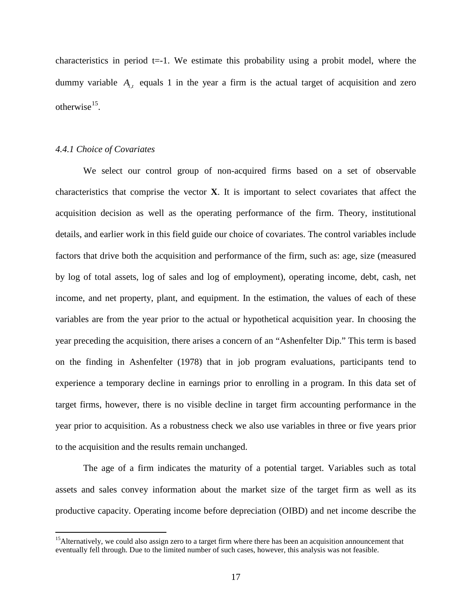characteristics in period  $t=1$ . We estimate this probability using a probit model, where the dummy variable  $A_i$ , equals 1 in the year a firm is the actual target of acquisition and zero otherwise $^{15}$  $^{15}$  $^{15}$ .

# *4.4.1 Choice of Covariates*

We select our control group of non-acquired firms based on a set of observable characteristics that comprise the vector **X**. It is important to select covariates that affect the acquisition decision as well as the operating performance of the firm. Theory, institutional details, and earlier work in this field guide our choice of covariates. The control variables include factors that drive both the acquisition and performance of the firm, such as: age, size (measured by log of total assets, log of sales and log of employment), operating income, debt, cash, net income, and net property, plant, and equipment. In the estimation, the values of each of these variables are from the year prior to the actual or hypothetical acquisition year. In choosing the year preceding the acquisition, there arises a concern of an "Ashenfelter Dip." This term is based on the finding in Ashenfelter (1978) that in job program evaluations, participants tend to experience a temporary decline in earnings prior to enrolling in a program. In this data set of target firms, however, there is no visible decline in target firm accounting performance in the year prior to acquisition. As a robustness check we also use variables in three or five years prior to the acquisition and the results remain unchanged.

The age of a firm indicates the maturity of a potential target. Variables such as total assets and sales convey information about the market size of the target firm as well as its productive capacity. Operating income before depreciation (OIBD) and net income describe the

<span id="page-18-0"></span><sup>&</sup>lt;sup>15</sup>Alternatively, we could also assign zero to a target firm where there has been an acquisition announcement that eventually fell through. Due to the limited number of such cases, however, this analysis was not feasible.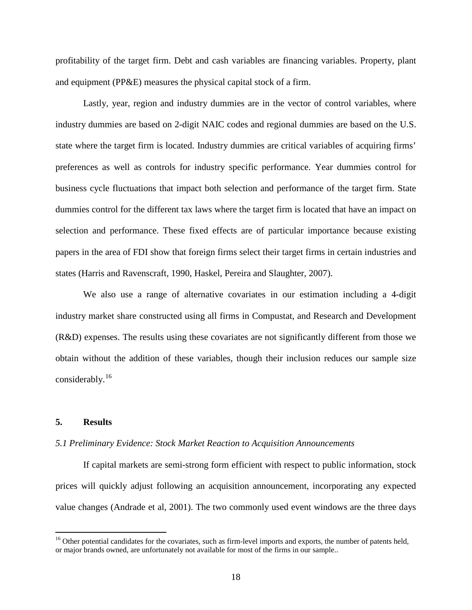profitability of the target firm. Debt and cash variables are financing variables. Property, plant and equipment (PP&E) measures the physical capital stock of a firm.

Lastly, year, region and industry dummies are in the vector of control variables, where industry dummies are based on 2-digit NAIC codes and regional dummies are based on the U.S. state where the target firm is located. Industry dummies are critical variables of acquiring firms' preferences as well as controls for industry specific performance. Year dummies control for business cycle fluctuations that impact both selection and performance of the target firm. State dummies control for the different tax laws where the target firm is located that have an impact on selection and performance. These fixed effects are of particular importance because existing papers in the area of FDI show that foreign firms select their target firms in certain industries and states (Harris and Ravenscraft, 1990, Haskel, Pereira and Slaughter, 2007).

We also use a range of alternative covariates in our estimation including a 4-digit industry market share constructed using all firms in Compustat, and Research and Development (R&D) expenses. The results using these covariates are not significantly different from those we obtain without the addition of these variables, though their inclusion reduces our sample size considerably.[16](#page-19-0)

# **5. Results**

#### *5.1 Preliminary Evidence: Stock Market Reaction to Acquisition Announcements*

If capital markets are semi-strong form efficient with respect to public information, stock prices will quickly adjust following an acquisition announcement, incorporating any expected value changes (Andrade et al, 2001). The two commonly used event windows are the three days

<span id="page-19-0"></span><sup>&</sup>lt;sup>16</sup> Other potential candidates for the covariates, such as firm-level imports and exports, the number of patents held, or major brands owned, are unfortunately not available for most of the firms in our sample..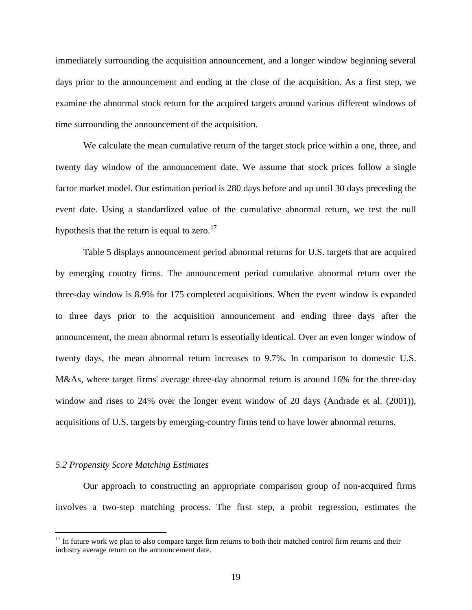immediately surrounding the acquisition announcement, and a longer window beginning several days prior to the announcement and ending at the close of the acquisition. As a first step, we examine the abnormal stock return for the acquired targets around various different windows of time surrounding the announcement of the acquisition.

We calculate the mean cumulative return of the target stock price within a one, three, and twenty day window of the announcement date. We assume that stock prices follow a single factor market model. Our estimation period is 280 days before and up until 30 days preceding the event date. Using a standardized value of the cumulative abnormal return, we test the null hypothesis that the return is equal to zero.<sup>[17](#page-20-0)</sup>

Table 5 displays announcement period abnormal returns for U.S. targets that are acquired by emerging country firms. The announcement period cumulative abnormal return over the three-day window is 8.9% for 175 completed acquisitions. When the event window is expanded to three days prior to the acquisition announcement and ending three days after the announcement, the mean abnormal return is essentially identical. Over an even longer window of twenty days, the mean abnormal return increases to 9.7%. In comparison to domestic U.S. M&As, where target firms' average three-day abnormal return is around 16% for the three-day window and rises to 24% over the longer event window of 20 days (Andrade et al. (2001)), acquisitions of U.S. targets by emerging-country firms tend to have lower abnormal returns.

#### *5.2 Propensity Score Matching Estimates*

Our approach to constructing an appropriate comparison group of non-acquired firms involves a two-step matching process. The first step, a probit regression, estimates the

<span id="page-20-0"></span> $17$  In future work we plan to also compare target firm returns to both their matched control firm returns and their industry average return on the announcement date.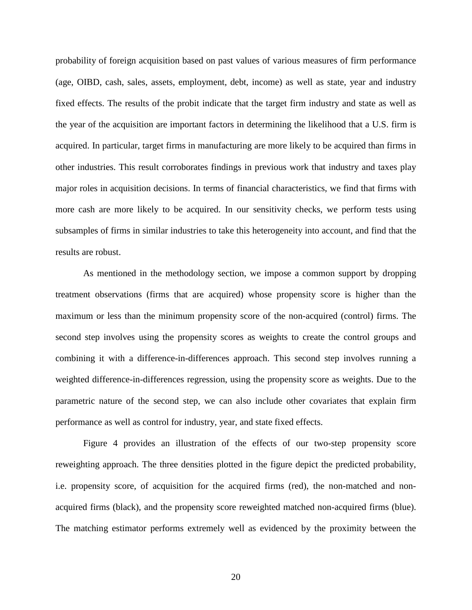probability of foreign acquisition based on past values of various measures of firm performance (age, OIBD, cash, sales, assets, employment, debt, income) as well as state, year and industry fixed effects. The results of the probit indicate that the target firm industry and state as well as the year of the acquisition are important factors in determining the likelihood that a U.S. firm is acquired. In particular, target firms in manufacturing are more likely to be acquired than firms in other industries. This result corroborates findings in previous work that industry and taxes play major roles in acquisition decisions. In terms of financial characteristics, we find that firms with more cash are more likely to be acquired. In our sensitivity checks, we perform tests using subsamples of firms in similar industries to take this heterogeneity into account, and find that the results are robust.

As mentioned in the methodology section, we impose a common support by dropping treatment observations (firms that are acquired) whose propensity score is higher than the maximum or less than the minimum propensity score of the non-acquired (control) firms. The second step involves using the propensity scores as weights to create the control groups and combining it with a difference-in-differences approach. This second step involves running a weighted difference-in-differences regression, using the propensity score as weights. Due to the parametric nature of the second step, we can also include other covariates that explain firm performance as well as control for industry, year, and state fixed effects.

Figure 4 provides an illustration of the effects of our two-step propensity score reweighting approach. The three densities plotted in the figure depict the predicted probability, i.e. propensity score, of acquisition for the acquired firms (red), the non-matched and nonacquired firms (black), and the propensity score reweighted matched non-acquired firms (blue). The matching estimator performs extremely well as evidenced by the proximity between the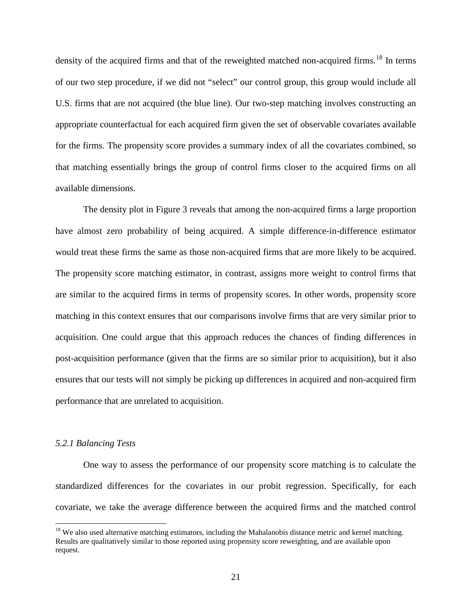density of the acquired firms and that of the reweighted matched non-acquired firms.<sup>[18](#page-22-0)</sup> In terms of our two step procedure, if we did not "select" our control group, this group would include all U.S. firms that are not acquired (the blue line). Our two-step matching involves constructing an appropriate counterfactual for each acquired firm given the set of observable covariates available for the firms. The propensity score provides a summary index of all the covariates combined, so that matching essentially brings the group of control firms closer to the acquired firms on all available dimensions.

The density plot in Figure 3 reveals that among the non-acquired firms a large proportion have almost zero probability of being acquired. A simple difference-in-difference estimator would treat these firms the same as those non-acquired firms that are more likely to be acquired. The propensity score matching estimator, in contrast, assigns more weight to control firms that are similar to the acquired firms in terms of propensity scores. In other words, propensity score matching in this context ensures that our comparisons involve firms that are very similar prior to acquisition. One could argue that this approach reduces the chances of finding differences in post-acquisition performance (given that the firms are so similar prior to acquisition), but it also ensures that our tests will not simply be picking up differences in acquired and non-acquired firm performance that are unrelated to acquisition.

#### *5.2.1 Balancing Tests*

One way to assess the performance of our propensity score matching is to calculate the standardized differences for the covariates in our probit regression. Specifically, for each covariate, we take the average difference between the acquired firms and the matched control

<span id="page-22-0"></span> $18$  We also used alternative matching estimators, including the Mahalanobis distance metric and kernel matching. Results are qualitatively similar to those reported using propensity score reweighting, and are available upon request.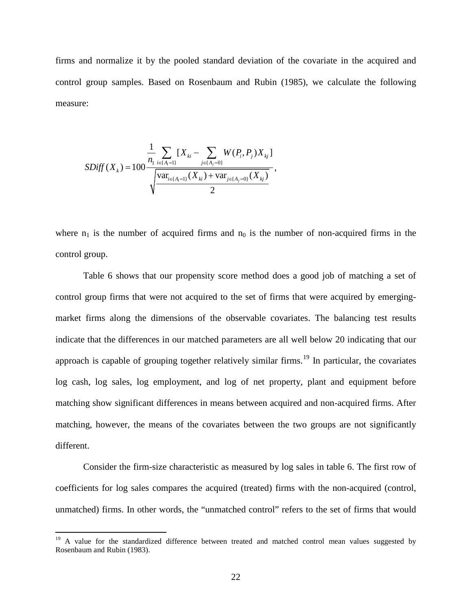firms and normalize it by the pooled standard deviation of the covariate in the acquired and control group samples. Based on Rosenbaum and Rubin (1985), we calculate the following measure:

$$
SDiff(X_{k}) = 100 \frac{\frac{1}{n_{1}} \sum_{i \in \{A_{i} = 1\}} [X_{ki} - \sum_{j \in \{A_{j} = 0\}} W(P_{i}, P_{j}) X_{kj}]}{\sqrt{\frac{\text{var}_{i \in \{A_{i} = 1\}} (X_{ki}) + \text{var}_{j \in \{A_{j} = 0\}} (X_{kj})}{2}} ,
$$

where  $n_1$  is the number of acquired firms and  $n_0$  is the number of non-acquired firms in the control group.

Table 6 shows that our propensity score method does a good job of matching a set of control group firms that were not acquired to the set of firms that were acquired by emergingmarket firms along the dimensions of the observable covariates. The balancing test results indicate that the differences in our matched parameters are all well below 20 indicating that our approach is capable of grouping together relatively similar firms.<sup>[19](#page-23-0)</sup> In particular, the covariates log cash, log sales, log employment, and log of net property, plant and equipment before matching show significant differences in means between acquired and non-acquired firms. After matching, however, the means of the covariates between the two groups are not significantly different.

Consider the firm-size characteristic as measured by log sales in table 6. The first row of coefficients for log sales compares the acquired (treated) firms with the non-acquired (control, unmatched) firms. In other words, the "unmatched control" refers to the set of firms that would

<span id="page-23-0"></span><sup>&</sup>lt;sup>19</sup> A value for the standardized difference between treated and matched control mean values suggested by Rosenbaum and Rubin (1983).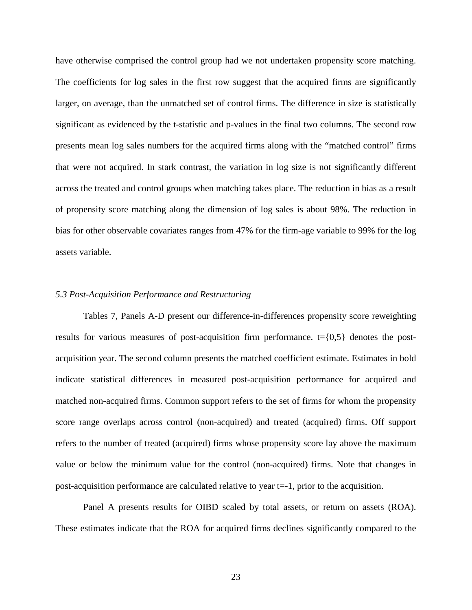have otherwise comprised the control group had we not undertaken propensity score matching. The coefficients for log sales in the first row suggest that the acquired firms are significantly larger, on average, than the unmatched set of control firms. The difference in size is statistically significant as evidenced by the t-statistic and p-values in the final two columns. The second row presents mean log sales numbers for the acquired firms along with the "matched control" firms that were not acquired. In stark contrast, the variation in log size is not significantly different across the treated and control groups when matching takes place. The reduction in bias as a result of propensity score matching along the dimension of log sales is about 98%. The reduction in bias for other observable covariates ranges from 47% for the firm-age variable to 99% for the log assets variable.

#### *5.3 Post-Acquisition Performance and Restructuring*

Tables 7, Panels A-D present our difference-in-differences propensity score reweighting results for various measures of post-acquisition firm performance.  $t = \{0,5\}$  denotes the postacquisition year. The second column presents the matched coefficient estimate. Estimates in bold indicate statistical differences in measured post-acquisition performance for acquired and matched non-acquired firms. Common support refers to the set of firms for whom the propensity score range overlaps across control (non-acquired) and treated (acquired) firms. Off support refers to the number of treated (acquired) firms whose propensity score lay above the maximum value or below the minimum value for the control (non-acquired) firms. Note that changes in post-acquisition performance are calculated relative to year t=-1, prior to the acquisition.

Panel A presents results for OIBD scaled by total assets, or return on assets (ROA). These estimates indicate that the ROA for acquired firms declines significantly compared to the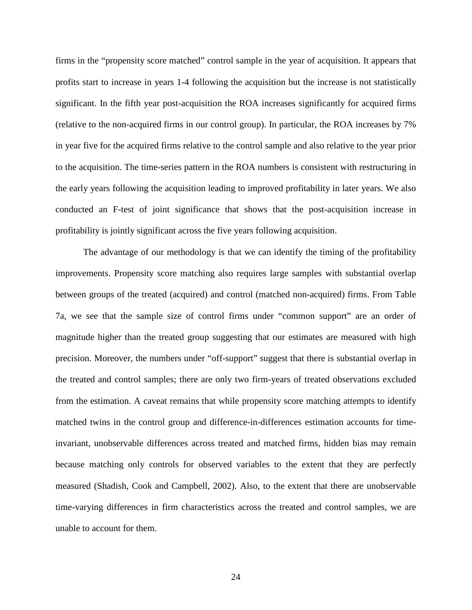firms in the "propensity score matched" control sample in the year of acquisition. It appears that profits start to increase in years 1-4 following the acquisition but the increase is not statistically significant. In the fifth year post-acquisition the ROA increases significantly for acquired firms (relative to the non-acquired firms in our control group). In particular, the ROA increases by 7% in year five for the acquired firms relative to the control sample and also relative to the year prior to the acquisition. The time-series pattern in the ROA numbers is consistent with restructuring in the early years following the acquisition leading to improved profitability in later years. We also conducted an F-test of joint significance that shows that the post-acquisition increase in profitability is jointly significant across the five years following acquisition.

The advantage of our methodology is that we can identify the timing of the profitability improvements. Propensity score matching also requires large samples with substantial overlap between groups of the treated (acquired) and control (matched non-acquired) firms. From Table 7a, we see that the sample size of control firms under "common support" are an order of magnitude higher than the treated group suggesting that our estimates are measured with high precision. Moreover, the numbers under "off-support" suggest that there is substantial overlap in the treated and control samples; there are only two firm-years of treated observations excluded from the estimation. A caveat remains that while propensity score matching attempts to identify matched twins in the control group and difference-in-differences estimation accounts for timeinvariant, unobservable differences across treated and matched firms, hidden bias may remain because matching only controls for observed variables to the extent that they are perfectly measured (Shadish, Cook and Campbell, 2002). Also, to the extent that there are unobservable time-varying differences in firm characteristics across the treated and control samples, we are unable to account for them.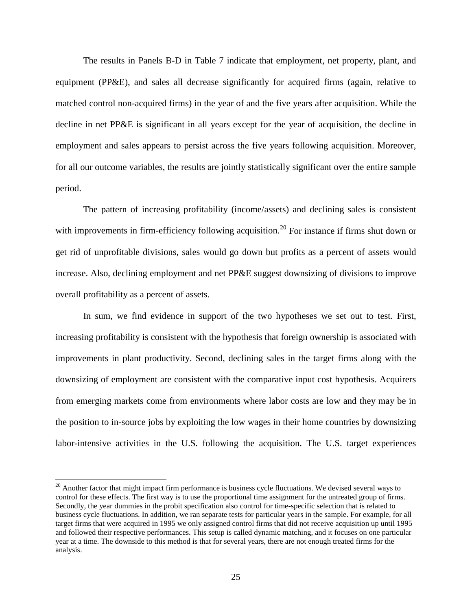The results in Panels B-D in Table 7 indicate that employment, net property, plant, and equipment (PP&E), and sales all decrease significantly for acquired firms (again, relative to matched control non-acquired firms) in the year of and the five years after acquisition. While the decline in net PP&E is significant in all years except for the year of acquisition, the decline in employment and sales appears to persist across the five years following acquisition. Moreover, for all our outcome variables, the results are jointly statistically significant over the entire sample period.

The pattern of increasing profitability (income/assets) and declining sales is consistent with improvements in firm-efficiency following acquisition.<sup>[20](#page-26-0)</sup> For instance if firms shut down or get rid of unprofitable divisions, sales would go down but profits as a percent of assets would increase. Also, declining employment and net PP&E suggest downsizing of divisions to improve overall profitability as a percent of assets.

In sum, we find evidence in support of the two hypotheses we set out to test. First, increasing profitability is consistent with the hypothesis that foreign ownership is associated with improvements in plant productivity. Second, declining sales in the target firms along with the downsizing of employment are consistent with the comparative input cost hypothesis. Acquirers from emerging markets come from environments where labor costs are low and they may be in the position to in-source jobs by exploiting the low wages in their home countries by downsizing labor-intensive activities in the U.S. following the acquisition. The U.S. target experiences

<span id="page-26-0"></span> $20$  Another factor that might impact firm performance is business cycle fluctuations. We devised several ways to control for these effects. The first way is to use the proportional time assignment for the untreated group of firms. Secondly, the year dummies in the probit specification also control for time-specific selection that is related to business cycle fluctuations. In addition, we ran separate tests for particular years in the sample. For example, for all target firms that were acquired in 1995 we only assigned control firms that did not receive acquisition up until 1995 and followed their respective performances. This setup is called dynamic matching, and it focuses on one particular year at a time. The downside to this method is that for several years, there are not enough treated firms for the analysis.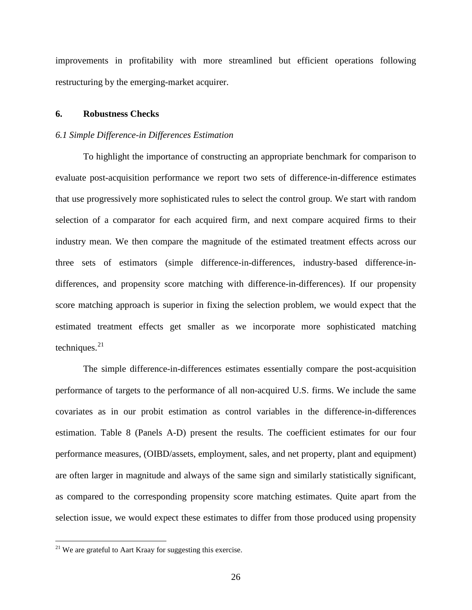improvements in profitability with more streamlined but efficient operations following restructuring by the emerging-market acquirer.

# **6. Robustness Checks**

# *6.1 Simple Difference-in Differences Estimation*

To highlight the importance of constructing an appropriate benchmark for comparison to evaluate post-acquisition performance we report two sets of difference-in-difference estimates that use progressively more sophisticated rules to select the control group. We start with random selection of a comparator for each acquired firm, and next compare acquired firms to their industry mean. We then compare the magnitude of the estimated treatment effects across our three sets of estimators (simple difference-in-differences, industry-based difference-indifferences, and propensity score matching with difference-in-differences). If our propensity score matching approach is superior in fixing the selection problem, we would expect that the estimated treatment effects get smaller as we incorporate more sophisticated matching techniques. $^{21}$  $^{21}$  $^{21}$ 

The simple difference-in-differences estimates essentially compare the post-acquisition performance of targets to the performance of all non-acquired U.S. firms. We include the same covariates as in our probit estimation as control variables in the difference-in-differences estimation. Table 8 (Panels A-D) present the results. The coefficient estimates for our four performance measures, (OIBD/assets, employment, sales, and net property, plant and equipment) are often larger in magnitude and always of the same sign and similarly statistically significant, as compared to the corresponding propensity score matching estimates. Quite apart from the selection issue, we would expect these estimates to differ from those produced using propensity

<span id="page-27-0"></span> $21$  We are grateful to Aart Kraay for suggesting this exercise.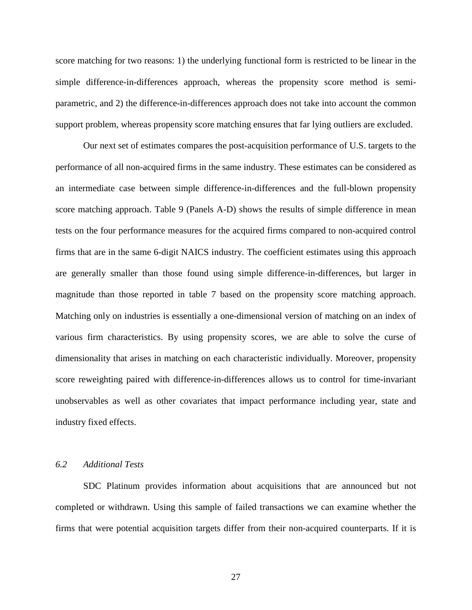score matching for two reasons: 1) the underlying functional form is restricted to be linear in the simple difference-in-differences approach, whereas the propensity score method is semiparametric, and 2) the difference-in-differences approach does not take into account the common support problem, whereas propensity score matching ensures that far lying outliers are excluded.

Our next set of estimates compares the post-acquisition performance of U.S. targets to the performance of all non-acquired firms in the same industry. These estimates can be considered as an intermediate case between simple difference-in-differences and the full-blown propensity score matching approach. Table 9 (Panels A-D) shows the results of simple difference in mean tests on the four performance measures for the acquired firms compared to non-acquired control firms that are in the same 6-digit NAICS industry. The coefficient estimates using this approach are generally smaller than those found using simple difference-in-differences, but larger in magnitude than those reported in table 7 based on the propensity score matching approach. Matching only on industries is essentially a one-dimensional version of matching on an index of various firm characteristics. By using propensity scores, we are able to solve the curse of dimensionality that arises in matching on each characteristic individually. Moreover, propensity score reweighting paired with difference-in-differences allows us to control for time-invariant unobservables as well as other covariates that impact performance including year, state and industry fixed effects.

# *6.2 Additional Tests*

SDC Platinum provides information about acquisitions that are announced but not completed or withdrawn. Using this sample of failed transactions we can examine whether the firms that were potential acquisition targets differ from their non-acquired counterparts. If it is

27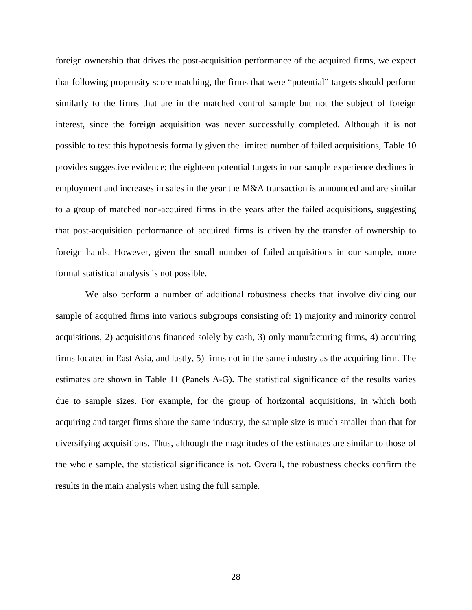foreign ownership that drives the post-acquisition performance of the acquired firms, we expect that following propensity score matching, the firms that were "potential" targets should perform similarly to the firms that are in the matched control sample but not the subject of foreign interest, since the foreign acquisition was never successfully completed. Although it is not possible to test this hypothesis formally given the limited number of failed acquisitions, Table 10 provides suggestive evidence; the eighteen potential targets in our sample experience declines in employment and increases in sales in the year the M&A transaction is announced and are similar to a group of matched non-acquired firms in the years after the failed acquisitions, suggesting that post-acquisition performance of acquired firms is driven by the transfer of ownership to foreign hands. However, given the small number of failed acquisitions in our sample, more formal statistical analysis is not possible.

We also perform a number of additional robustness checks that involve dividing our sample of acquired firms into various subgroups consisting of: 1) majority and minority control acquisitions, 2) acquisitions financed solely by cash, 3) only manufacturing firms, 4) acquiring firms located in East Asia, and lastly, 5) firms not in the same industry as the acquiring firm. The estimates are shown in Table 11 (Panels A-G). The statistical significance of the results varies due to sample sizes. For example, for the group of horizontal acquisitions, in which both acquiring and target firms share the same industry, the sample size is much smaller than that for diversifying acquisitions. Thus, although the magnitudes of the estimates are similar to those of the whole sample, the statistical significance is not. Overall, the robustness checks confirm the results in the main analysis when using the full sample.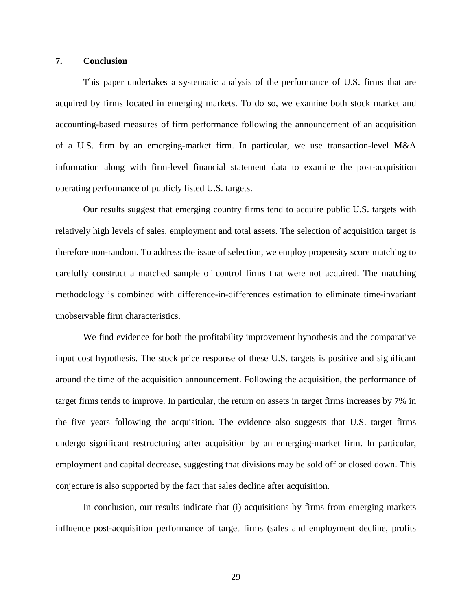# **7. Conclusion**

This paper undertakes a systematic analysis of the performance of U.S. firms that are acquired by firms located in emerging markets. To do so, we examine both stock market and accounting-based measures of firm performance following the announcement of an acquisition of a U.S. firm by an emerging-market firm. In particular, we use transaction-level M&A information along with firm-level financial statement data to examine the post-acquisition operating performance of publicly listed U.S. targets.

Our results suggest that emerging country firms tend to acquire public U.S. targets with relatively high levels of sales, employment and total assets. The selection of acquisition target is therefore non-random. To address the issue of selection, we employ propensity score matching to carefully construct a matched sample of control firms that were not acquired. The matching methodology is combined with difference-in-differences estimation to eliminate time-invariant unobservable firm characteristics.

We find evidence for both the profitability improvement hypothesis and the comparative input cost hypothesis. The stock price response of these U.S. targets is positive and significant around the time of the acquisition announcement. Following the acquisition, the performance of target firms tends to improve. In particular, the return on assets in target firms increases by 7% in the five years following the acquisition. The evidence also suggests that U.S. target firms undergo significant restructuring after acquisition by an emerging-market firm. In particular, employment and capital decrease, suggesting that divisions may be sold off or closed down. This conjecture is also supported by the fact that sales decline after acquisition.

In conclusion, our results indicate that (i) acquisitions by firms from emerging markets influence post-acquisition performance of target firms (sales and employment decline, profits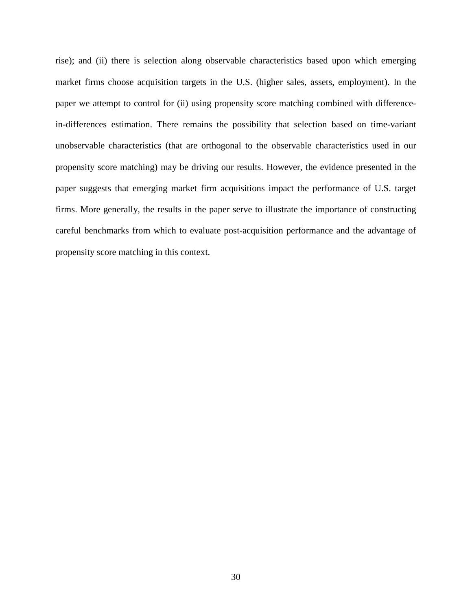rise); and (ii) there is selection along observable characteristics based upon which emerging market firms choose acquisition targets in the U.S. (higher sales, assets, employment). In the paper we attempt to control for (ii) using propensity score matching combined with differencein-differences estimation. There remains the possibility that selection based on time-variant unobservable characteristics (that are orthogonal to the observable characteristics used in our propensity score matching) may be driving our results. However, the evidence presented in the paper suggests that emerging market firm acquisitions impact the performance of U.S. target firms. More generally, the results in the paper serve to illustrate the importance of constructing careful benchmarks from which to evaluate post-acquisition performance and the advantage of propensity score matching in this context.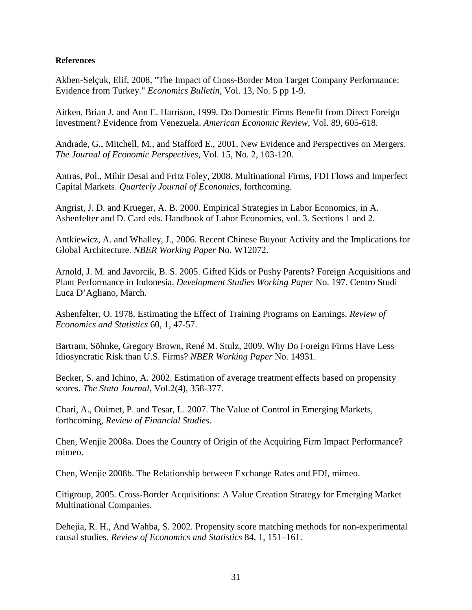# **References**

Akben-Selçuk, Elif, 2008, "The Impact of Cross-Border Mon Target Company Performance: Evidence from Turkey." *Economics Bulletin*, Vol. 13, No. 5 pp 1-9.

Aitken, Brian J. and Ann E. Harrison, 1999. Do Domestic Firms Benefit from Direct Foreign Investment? Evidence from Venezuela. *American Economic Review*, Vol. 89, 605-618.

Andrade, G., Mitchell, M., and Stafford E., 2001. New Evidence and Perspectives on Mergers. *The Journal of Economic Perspectives*, Vol. 15, No. 2, 103-120.

Antras, Pol., Mihir Desai and Fritz Foley, 2008. Multinational Firms, FDI Flows and Imperfect Capital Markets. *Quarterly Journal of Economics*, forthcoming.

Angrist, J. D. and Krueger, A. B. 2000. Empirical Strategies in Labor Economics, in A. Ashenfelter and D. Card eds. Handbook of Labor Economics, vol. 3. Sections 1 and 2.

Antkiewicz, A. and Whalley, J., 2006. Recent Chinese Buyout Activity and the Implications for Global Architecture. *NBER Working Paper* No. W12072.

Arnold, J. M. and Javorcik, B. S. 2005. Gifted Kids or Pushy Parents? Foreign Acquisitions and Plant Performance in Indonesia. *Development Studies Working Paper* No. 197. Centro Studi Luca D'Agliano, March.

Ashenfelter, O. 1978. Estimating the Effect of Training Programs on Earnings. *Review of Economics and Statistics* 60, 1, 47-57.

Bartram, Söhnke, Gregory Brown, René M. Stulz, 2009. Why Do Foreign Firms Have Less Idiosyncratic Risk than U.S. Firms? *NBER Working Paper* No. 14931.

Becker, S. and Ichino, A. 2002. Estimation of average treatment effects based on propensity scores. *The Stata Journal*, Vol.2(4), 358-377.

Chari, A., Ouimet, P. and Tesar, L. 2007. The Value of Control in Emerging Markets, forthcoming, *Review of Financial Studies*.

Chen, Wenjie 2008a. Does the Country of Origin of the Acquiring Firm Impact Performance? mimeo.

Chen, Wenjie 2008b. The Relationship between Exchange Rates and FDI, mimeo.

Citigroup, 2005. Cross-Border Acquisitions: A Value Creation Strategy for Emerging Market Multinational Companies.

Dehejia, R. H., And Wahba, S. 2002. Propensity score matching methods for non-experimental causal studies. *Review of Economics and Statistics* 84, 1, 151–161.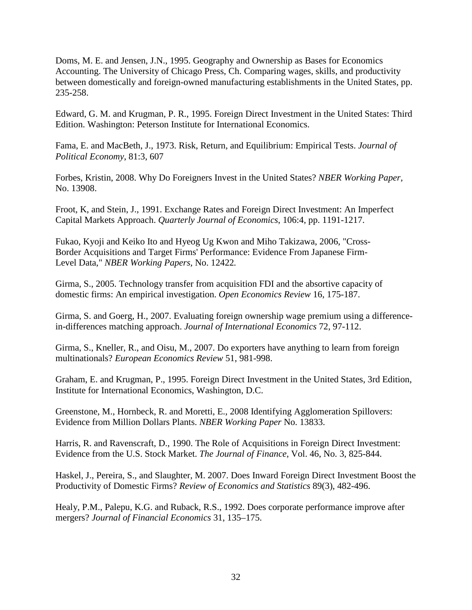Doms, M. E. and Jensen, J.N., 1995. Geography and Ownership as Bases for Economics Accounting. The University of Chicago Press, Ch. Comparing wages, skills, and productivity between domestically and foreign-owned manufacturing establishments in the United States, pp. 235-258.

Edward, G. M. and Krugman, P. R., 1995. Foreign Direct Investment in the United States: Third Edition. Washington: Peterson Institute for International Economics.

Fama, E. and MacBeth, J., 1973. Risk, Return, and Equilibrium: Empirical Tests. *Journal of Political Economy*, 81:3, 607

Forbes, Kristin, 2008. Why Do Foreigners Invest in the United States? *NBER Working Paper,* No. 13908.

Froot, K, and Stein, J., 1991. Exchange Rates and Foreign Direct Investment: An Imperfect Capital Markets Approach. *Quarterly Journal of Economics*, 106:4, pp. 1191-1217.

Fukao, Kyoji and Keiko Ito and Hyeog Ug Kwon and Miho Takizawa, 2006, "Cross-Border Acquisitions and Target Firms' Performance: Evidence From Japanese Firm-Level Data," *NBER Working Papers,* No. 12422*.*

Girma, S., 2005. Technology transfer from acquisition FDI and the absortive capacity of domestic firms: An empirical investigation. *Open Economics Review* 16, 175-187.

Girma, S. and Goerg, H., 2007. Evaluating foreign ownership wage premium using a differencein-differences matching approach. *Journal of International Economics* 72, 97-112.

Girma, S., Kneller, R., and Oisu, M., 2007. Do exporters have anything to learn from foreign multinationals? *European Economics Review* 51, 981-998.

Graham, E. and Krugman, P., 1995. Foreign Direct Investment in the United States, 3rd Edition, Institute for International Economics, Washington, D.C.

Greenstone, M., Hornbeck, R. and Moretti, E., 2008 Identifying Agglomeration Spillovers: Evidence from Million Dollars Plants. *NBER Working Paper* No. 13833.

Harris, R. and Ravenscraft, D., 1990. The Role of Acquisitions in Foreign Direct Investment: Evidence from the U.S. Stock Market. *The Journal of Finance*, Vol. 46, No. 3, 825-844.

Haskel, J., Pereira, S., and Slaughter, M. 2007. Does Inward Foreign Direct Investment Boost the Productivity of Domestic Firms? *Review of Economics and Statistics* 89(3), 482-496.

Healy, P.M., Palepu, K.G. and Ruback, R.S., 1992. Does corporate performance improve after mergers? *Journal of Financial Economics* 31, 135–175.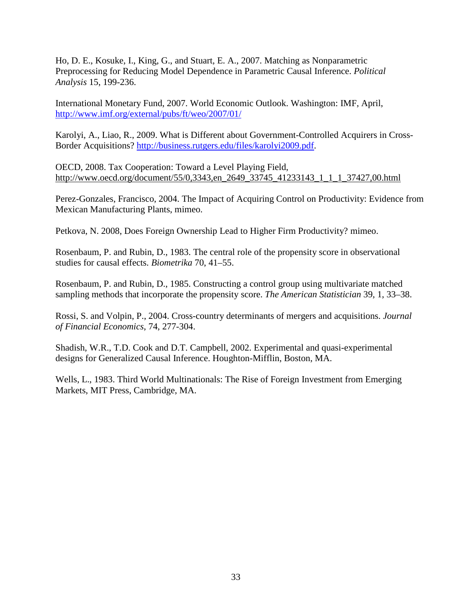Ho, D. E., Kosuke, I., King, G., and Stuart, E. A., 2007. Matching as Nonparametric Preprocessing for Reducing Model Dependence in Parametric Causal Inference. *Political Analysis* 15, 199-236.

International Monetary Fund, 2007. World Economic Outlook. Washington: IMF, April, <http://www.imf.org/external/pubs/ft/weo/2007/01/>

Karolyi, A., Liao, R., 2009. What is Different about Government-Controlled Acquirers in Cross-Border Acquisitions? [http://business.rutgers.edu/files/karolyi2009.pdf.](http://business.rutgers.edu/files/karolyi2009.pdf)

OECD, 2008. Tax Cooperation: Toward a Level Playing Field, [http://www.oecd.org/document/55/0,3343,en\\_2649\\_33745\\_41233143\\_1\\_1\\_1\\_37427,00.html](http://www.oecd.org/document/55/0,3343,en_2649_33745_41233143_1_1_1_37427,00.html)

Perez-Gonzales, Francisco, 2004. The Impact of Acquiring Control on Productivity: Evidence from Mexican Manufacturing Plants, mimeo.

Petkova, N. 2008, Does Foreign Ownership Lead to Higher Firm Productivity? mimeo.

Rosenbaum, P. and Rubin, D., 1983. The central role of the propensity score in observational studies for causal effects. *Biometrika* 70, 41–55.

Rosenbaum, P. and Rubin, D., 1985. Constructing a control group using multivariate matched sampling methods that incorporate the propensity score. *The American Statistician* 39, 1, 33–38.

Rossi, S. and Volpin, P., 2004. Cross-country determinants of mergers and acquisitions. *Journal of Financial Economics*, 74, 277-304.

Shadish, W.R., T.D. Cook and D.T. Campbell, 2002. Experimental and quasi-experimental designs for Generalized Causal Inference. Houghton-Mifflin, Boston, MA.

Wells, L., 1983. Third World Multinationals: The Rise of Foreign Investment from Emerging Markets, MIT Press, Cambridge, MA.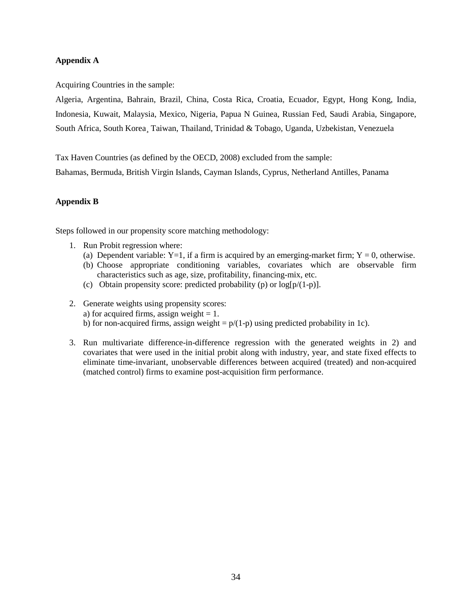# **Appendix A**

Acquiring Countries in the sample:

Algeria, Argentina, Bahrain, Brazil, China, Costa Rica, Croatia, Ecuador, Egypt, Hong Kong, India, Indonesia, Kuwait, Malaysia, Mexico, Nigeria, Papua N Guinea, Russian Fed, Saudi Arabia, Singapore, South Africa, South Korea¸ Taiwan, Thailand, Trinidad & Tobago, Uganda, Uzbekistan, Venezuela

Tax Haven Countries (as defined by the OECD, 2008) excluded from the sample:

Bahamas, Bermuda, British Virgin Islands, Cayman Islands, Cyprus, Netherland Antilles, Panama

# **Appendix B**

Steps followed in our propensity score matching methodology:

- 1. Run Probit regression where:
	- (a) Dependent variable: Y=1, if a firm is acquired by an emerging-market firm;  $Y = 0$ , otherwise.
	- (b) Choose appropriate conditioning variables, covariates which are observable firm characteristics such as age, size, profitability, financing-mix, etc.
	- (c) Obtain propensity score: predicted probability (p) or  $log[p/(1-p)]$ .
- 2. Generate weights using propensity scores: a) for acquired firms, assign weight  $= 1$ . b) for non-acquired firms, assign weight =  $p/(1-p)$  using predicted probability in 1c).
- 3. Run multivariate difference-in-difference regression with the generated weights in 2) and covariates that were used in the initial probit along with industry, year, and state fixed effects to eliminate time-invariant, unobservable differences between acquired (treated) and non-acquired (matched control) firms to examine post-acquisition firm performance.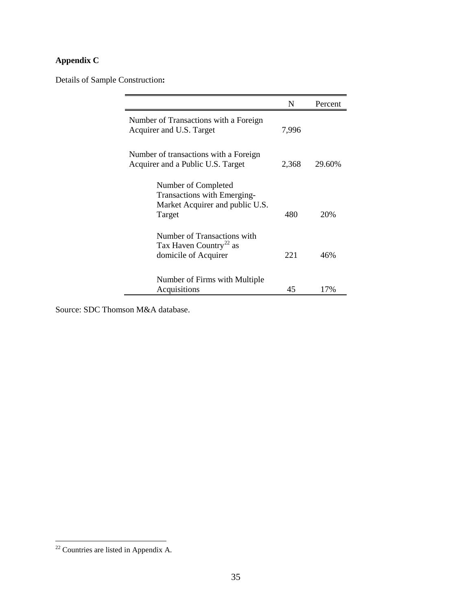# **Appendix C**

Details of Sample Construction**:**

|                                                                                                 | N     | Percent |
|-------------------------------------------------------------------------------------------------|-------|---------|
| Number of Transactions with a Foreign<br>Acquirer and U.S. Target                               | 7,996 |         |
| Number of transactions with a Foreign<br>Acquirer and a Public U.S. Target                      | 2,368 | 29.60%  |
| Number of Completed<br>Transactions with Emerging-<br>Market Acquirer and public U.S.<br>Target | 480   | 20%     |
| Number of Transactions with<br>Tax Haven Country <sup>22</sup> as<br>domicile of Acquirer       | 221   | 46%     |
| Number of Firms with Multiple<br>Acquisitions                                                   | 45    | 17%     |

Source: SDC Thomson M&A database.

<span id="page-36-0"></span> $\overline{\text{22}$  Countries are listed in Appendix A.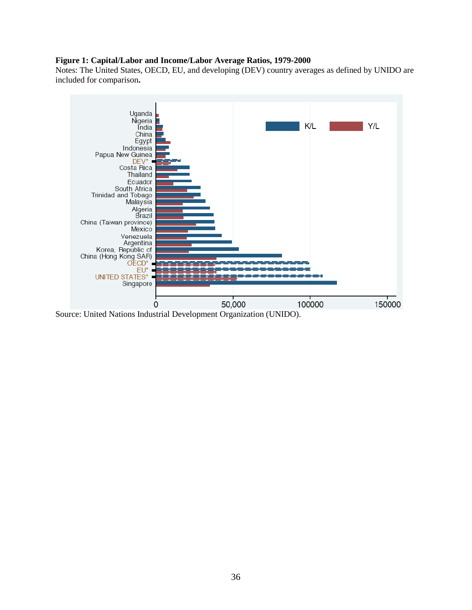## **Figure 1: Capital/Labor and Income/Labor Average Ratios, 1979-2000**

Notes: The United States, OECD, EU, and developing (DEV) country averages as defined by UNIDO are included for comparison**.** 



Source: United Nations Industrial Development Organization (UNIDO).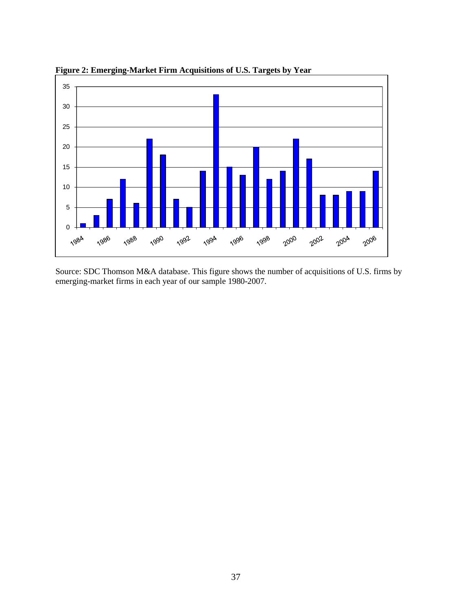

**Figure 2: Emerging-Market Firm Acquisitions of U.S. Targets by Year** 

Source: SDC Thomson M&A database. This figure shows the number of acquisitions of U.S. firms by emerging-market firms in each year of our sample 1980-2007.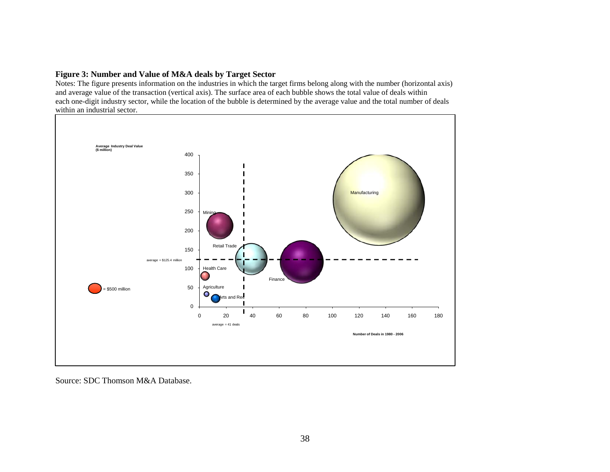#### **Figure 3: Number and Value of M&A deals by Target Sector**

Notes: The figure presents information on the industries in which the target firms belong along with the number (horizontal axis) and average value of the transaction (vertical axis). The surface area of each bubble shows the total value of deals within each one-digit industry sector, while the location of the bubble is determined by the average value and the total number of deals within an industrial sector.



Source: SDC Thomson M&A Database.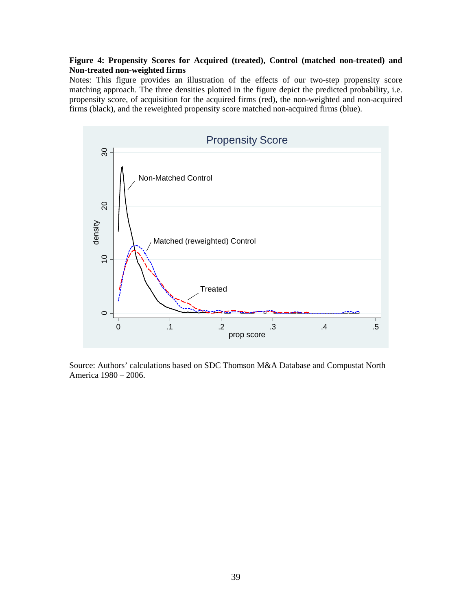# **Figure 4: Propensity Scores for Acquired (treated), Control (matched non-treated) and Non-treated non-weighted firms**

Notes: This figure provides an illustration of the effects of our two-step propensity score matching approach. The three densities plotted in the figure depict the predicted probability, i.e. propensity score, of acquisition for the acquired firms (red), the non-weighted and non-acquired firms (black), and the reweighted propensity score matched non-acquired firms (blue).



Source: Authors' calculations based on SDC Thomson M&A Database and Compustat North America 1980 – 2006.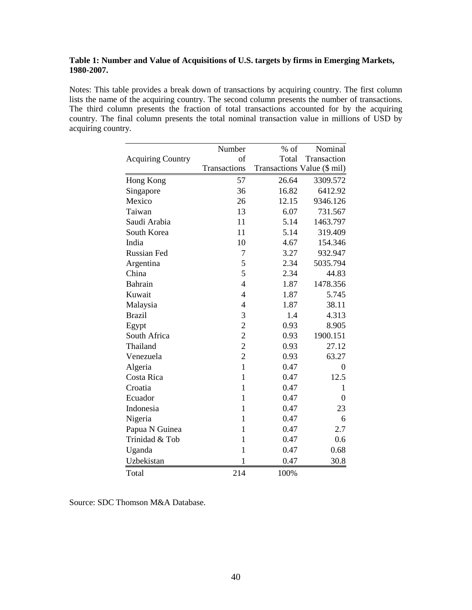# **Table 1: Number and Value of Acquisitions of U.S. targets by firms in Emerging Markets, 1980-2007.**

Notes: This table provides a break down of transactions by acquiring country. The first column lists the name of the acquiring country. The second column presents the number of transactions. The third column presents the fraction of total transactions accounted for by the acquiring country. The final column presents the total nominal transaction value in millions of USD by acquiring country.

|                          | Number         | $%$ of | Nominal                     |
|--------------------------|----------------|--------|-----------------------------|
| <b>Acquiring Country</b> | of             | Total  | Transaction                 |
|                          | Transactions   |        | Transactions Value (\$ mil) |
| Hong Kong                | 57             | 26.64  | 3309.572                    |
| Singapore                | 36             | 16.82  | 6412.92                     |
| Mexico                   | 26             | 12.15  | 9346.126                    |
| Taiwan                   | 13             | 6.07   | 731.567                     |
| Saudi Arabia             | 11             | 5.14   | 1463.797                    |
| South Korea              | 11             | 5.14   | 319.409                     |
| India                    | 10             | 4.67   | 154.346                     |
| <b>Russian Fed</b>       | 7              | 3.27   | 932.947                     |
| Argentina                | 5              | 2.34   | 5035.794                    |
| China                    | 5              | 2.34   | 44.83                       |
| Bahrain                  | $\overline{4}$ | 1.87   | 1478.356                    |
| Kuwait                   | $\overline{4}$ | 1.87   | 5.745                       |
| Malaysia                 | $\overline{4}$ | 1.87   | 38.11                       |
| <b>Brazil</b>            | 3              | 1.4    | 4.313                       |
| Egypt                    | $\overline{c}$ | 0.93   | 8.905                       |
| South Africa             | $\overline{c}$ | 0.93   | 1900.151                    |
| Thailand                 | $\overline{c}$ | 0.93   | 27.12                       |
| Venezuela                | $\overline{c}$ | 0.93   | 63.27                       |
| Algeria                  | $\mathbf{1}$   | 0.47   | $\overline{0}$              |
| Costa Rica               | $\mathbf{1}$   | 0.47   | 12.5                        |
| Croatia                  | $\mathbf{1}$   | 0.47   | 1                           |
| Ecuador                  | $\mathbf{1}$   | 0.47   | $\overline{0}$              |
| Indonesia                | $\mathbf{1}$   | 0.47   | 23                          |
| Nigeria                  | $\mathbf{1}$   | 0.47   | 6                           |
| Papua N Guinea           | 1              | 0.47   | 2.7                         |
| Trinidad & Tob           | $\mathbf{1}$   | 0.47   | 0.6                         |
| Uganda                   | $\mathbf{1}$   | 0.47   | 0.68                        |
| Uzbekistan               | 1              | 0.47   | 30.8                        |
| Total                    | 214            | 100%   |                             |

Source: SDC Thomson M&A Database.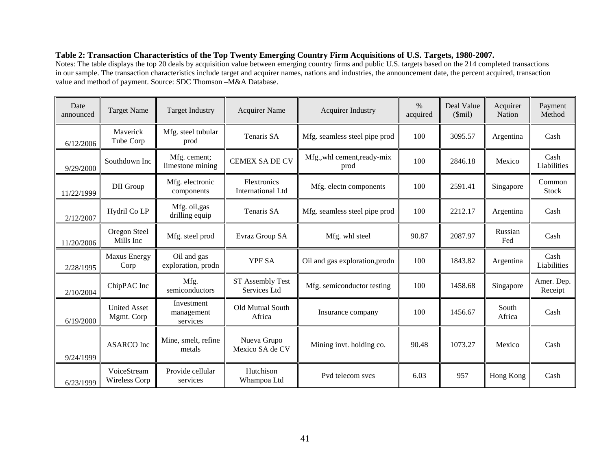# **Table 2: Transaction Characteristics of the Top Twenty Emerging Country Firm Acquisitions of U.S. Targets, 1980-2007.**

Notes: The table displays the top 20 deals by acquisition value between emerging country firms and public U.S. targets based on the 214 completed transactions in our sample. The transaction characteristics include target and acquirer names, nations and industries, the announcement date, the percent acquired, transaction value and method of payment. Source: SDC Thomson –M&A Database.

| Date<br>announced | <b>Target Name</b>                | <b>Target Industry</b>               | <b>Acquirer Name</b>                    | <b>Acquirer Industry</b>            | $\%$<br>acquired | Deal Value<br>\$mil) | Acquirer<br>Nation | Payment<br>Method      |
|-------------------|-----------------------------------|--------------------------------------|-----------------------------------------|-------------------------------------|------------------|----------------------|--------------------|------------------------|
| 6/12/2006         | Maverick<br>Tube Corp             | Mfg. steel tubular<br>prod           | Tenaris SA                              | Mfg. seamless steel pipe prod       | 100              | 3095.57              | Argentina          | Cash                   |
| 9/29/2000         | Southdown Inc                     | Mfg. cement;<br>limestone mining     | <b>CEMEX SADE CV</b>                    | Mfg., whl cement, ready-mix<br>prod | 100              | 2846.18              | Mexico             | Cash<br>Liabilities    |
| 11/22/1999        | DII Group                         | Mfg. electronic<br>components        | Flextronics<br><b>International Ltd</b> | Mfg. electn components              | 100              | 2591.41              | Singapore          | Common<br><b>Stock</b> |
| 2/12/2007         | Hydril Co LP                      | Mfg. oil, gas<br>drilling equip      | Tenaris SA                              | Mfg. seamless steel pipe prod       | 100              | 2212.17              | Argentina          | Cash                   |
| 11/20/2006        | Oregon Steel<br>Mills Inc         | Mfg. steel prod                      | Evraz Group SA                          | Mfg. whl steel                      | 90.87            | 2087.97              | Russian<br>Fed     | Cash                   |
| 2/28/1995         | <b>Maxus Energy</b><br>Corp       | Oil and gas<br>exploration, prodn    | <b>YPF SA</b>                           | Oil and gas exploration, prodn      | 100              | 1843.82              | Argentina          | Cash<br>Liabilities    |
| 2/10/2004         | ChipPAC Inc                       | Mfg.<br>semiconductors               | ST Assembly Test<br>Services Ltd        | Mfg. semiconductor testing          | 100              | 1458.68              | Singapore          | Amer. Dep.<br>Receipt  |
| 6/19/2000         | <b>United Asset</b><br>Mgmt. Corp | Investment<br>management<br>services | Old Mutual South<br>Africa              | Insurance company                   | 100              | 1456.67              | South<br>Africa    | Cash                   |
| 9/24/1999         | <b>ASARCO</b> Inc                 | Mine, smelt, refine<br>metals        | Nueva Grupo<br>Mexico SA de CV          | Mining invt. holding co.            | 90.48            | 1073.27              | Mexico             | Cash                   |
| 6/23/1999         | VoiceStream<br>Wireless Corp      | Provide cellular<br>services         | Hutchison<br>Whampoa Ltd                | Pvd telecom svcs                    | 6.03             | 957                  | Hong Kong          | Cash                   |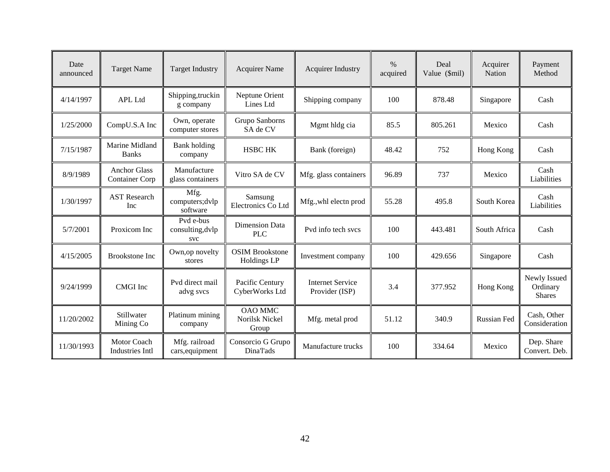| Date<br>announced | <b>Target Name</b>                           | <b>Target Industry</b>               | <b>Acquirer Name</b>                      | <b>Acquirer Industry</b>                  | $\frac{0}{0}$<br>acquired | Deal<br>Value (\$mil) | Acquirer<br>Nation | Payment<br>Method                         |
|-------------------|----------------------------------------------|--------------------------------------|-------------------------------------------|-------------------------------------------|---------------------------|-----------------------|--------------------|-------------------------------------------|
| 4/14/1997         | <b>APL Ltd</b>                               | Shipping, truckin<br>g company       | Neptune Orient<br>Lines Ltd               | Shipping company                          | 100                       | 878.48                | Singapore          | Cash                                      |
| 1/25/2000         | CompU.S.A Inc                                | Own, operate<br>computer stores      | Grupo Sanborns<br>SA de CV                | Mgmt hldg cia                             | 85.5                      | 805.261               | Mexico             | Cash                                      |
| 7/15/1987         | Marine Midland<br><b>Banks</b>               | <b>Bank</b> holding<br>company       | <b>HSBC HK</b>                            | Bank (foreign)                            | 48.42                     | 752                   | Hong Kong          | Cash                                      |
| 8/9/1989          | <b>Anchor Glass</b><br><b>Container Corp</b> | Manufacture<br>glass containers      | Vitro SA de CV                            | Mfg. glass containers                     | 96.89                     | 737                   | Mexico             | Cash<br>Liabilities                       |
| 1/30/1997         | <b>AST Research</b><br>Inc                   | Mfg.<br>computers; dvlp<br>software  | Samsung<br>Electronics Co Ltd             | Mfg., whl electn prod                     | 55.28                     | 495.8                 | South Korea        | Cash<br>Liabilities                       |
| 5/7/2001          | Proxicom Inc                                 | Pvd e-bus<br>consulting, dvlp<br>svc | <b>Dimension Data</b><br><b>PLC</b>       | Pvd info tech sycs                        | 100                       | 443.481               | South Africa       | Cash                                      |
| 4/15/2005         | <b>Brookstone Inc</b>                        | Own, op novelty<br>stores            | <b>OSIM Brookstone</b><br>Holdings LP     | Investment company                        | 100                       | 429.656               | Singapore          | Cash                                      |
| 9/24/1999         | <b>CMGI</b> Inc                              | Pvd direct mail<br>advg svcs         | Pacific Century<br>CyberWorks Ltd         | <b>Internet Service</b><br>Provider (ISP) | 3.4                       | 377.952               | Hong Kong          | Newly Issued<br>Ordinary<br><b>Shares</b> |
| 11/20/2002        | Stillwater<br>Mining Co                      | Platinum mining<br>company           | <b>OAO MMC</b><br>Norilsk Nickel<br>Group | Mfg. metal prod                           | 51.12                     | 340.9                 | Russian Fed        | Cash, Other<br>Consideration              |
| 11/30/1993        | Motor Coach<br>Industries Intl               | Mfg. railroad<br>cars, equipment     | Consorcio G Grupo<br>Dina'l'ads           | Manufacture trucks                        | 100                       | 334.64                | Mexico             | Dep. Share<br>Convert. Deb.               |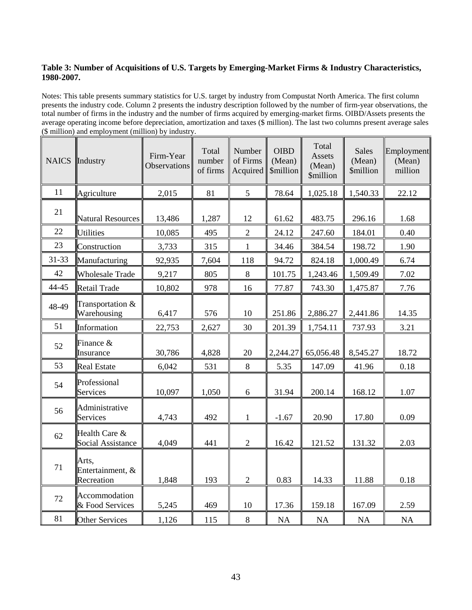# **Table 3: Number of Acquisitions of U.S. Targets by Emerging-Market Firms & Industry Characteristics, 1980-2007.**

Notes: This table presents summary statistics for U.S. target by industry from Compustat North America. The first column presents the industry code. Column 2 presents the industry description followed by the number of firm-year observations, the total number of firms in the industry and the number of firms acquired by emerging-market firms. OIBD/Assets presents the average operating income before depreciation, amortization and taxes (\$ million). The last two columns present average sales (\$ million) and employment (million) by industry.

| <b>NAICS</b> | Industry                                | Firm-Year<br><b>Observations</b> | Total<br>number<br>of firms | Number<br>of Firms<br>Acquired | <b>OIBD</b><br>(Mean)<br><i><b>\$million</b></i> | Total<br>Assets<br>(Mean)<br><i><b>\$million</b></i> | <b>Sales</b><br>(Mean)<br><i><b>\$million</b></i> | Employment<br>(Mean)<br>million |
|--------------|-----------------------------------------|----------------------------------|-----------------------------|--------------------------------|--------------------------------------------------|------------------------------------------------------|---------------------------------------------------|---------------------------------|
| 11           | Agriculture                             | 2,015                            | 81                          | 5                              | 78.64                                            | 1,025.18                                             | 1,540.33                                          | 22.12                           |
| 21           | <b>Natural Resources</b>                | 13,486                           | 1,287                       | 12                             | 61.62                                            | 483.75                                               | 296.16                                            | 1.68                            |
| 22           | <b>Utilities</b>                        | 10,085                           | 495                         | $\overline{2}$                 | 24.12                                            | 247.60                                               | 184.01                                            | 0.40                            |
| 23           | Construction                            | 3,733                            | 315                         | $\mathbf{1}$                   | 34.46                                            | 384.54                                               | 198.72                                            | 1.90                            |
| 31-33        | Manufacturing                           | 92,935                           | 7,604                       | 118                            | 94.72                                            | 824.18                                               | 1,000.49                                          | 6.74                            |
| 42           | <b>Wholesale Trade</b>                  | 9,217                            | 805                         | $8\,$                          | 101.75                                           | 1,243.46                                             | 1,509.49                                          | 7.02                            |
| 44-45        | Retail Trade                            | 10,802                           | 978                         | 16                             | 77.87                                            | 743.30                                               | 1,475.87                                          | 7.76                            |
| 48-49        | Transportation &<br>Warehousing         | 6,417                            | 576                         | 10                             | 251.86                                           | 2,886.27                                             | 2,441.86                                          | 14.35                           |
| 51           | Information                             | 22,753                           | 2,627                       | 30                             | 201.39                                           | 1,754.11                                             | 737.93                                            | 3.21                            |
| 52           | Finance &<br>Insurance                  | 30,786                           | 4,828                       | 20                             | 2,244.27                                         | 65,056.48                                            | 8,545.27                                          | 18.72                           |
| 53           | <b>Real Estate</b>                      | 6,042                            | 531                         | $8\,$                          | 5.35                                             | 147.09                                               | 41.96                                             | 0.18                            |
| 54           | Professional<br>Services                | 10,097                           | 1,050                       | 6                              | 31.94                                            | 200.14                                               | 168.12                                            | 1.07                            |
| 56           | Administrative<br>Services              | 4,743                            | 492                         | $\mathbf{1}$                   | $-1.67$                                          | 20.90                                                | 17.80                                             | 0.09                            |
| 62           | Health Care &<br>Social Assistance      | 4,049                            | 441                         | $\sqrt{2}$                     | 16.42                                            | 121.52                                               | 131.32                                            | 2.03                            |
| 71           | Arts,<br>Entertainment, &<br>Recreation | 1,848                            | 193                         | $\overline{2}$                 | 0.83                                             | 14.33                                                | 11.88                                             | 0.18                            |
| 72           | Accommodation<br>& Food Services        | 5,245                            | 469                         | 10                             | 17.36                                            | 159.18                                               | 167.09                                            | 2.59                            |
| 81           | <b>Other Services</b>                   | 1,126                            | 115                         | $\,8\,$                        | NA                                               | NA                                                   | NA                                                | NA                              |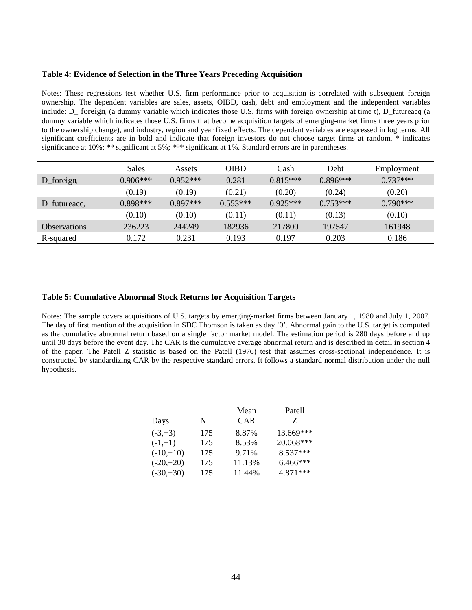#### **Table 4: Evidence of Selection in the Three Years Preceding Acquisition**

Notes: These regressions test whether U.S. firm performance prior to acquisition is correlated with subsequent foreign ownership. The dependent variables are sales, assets, OIBD, cash, debt and employment and the independent variables include: D\_ foreign, (a dummy variable which indicates those U.S. firms with foreign ownership at time t), D\_futureacq (a dummy variable which indicates those U.S. firms that become acquisition targets of emerging-market firms three years prior to the ownership change), and industry, region and year fixed effects. The dependent variables are expressed in log terms. All significant coefficients are in bold and indicate that foreign investors do not choose target firms at random. \* indicates significance at 10%; \*\* significant at 5%; \*\*\* significant at 1%. Standard errors are in parentheses.

|                          | Sales      | <b>Assets</b> | OIBD       | Cash       | Debt       | Employment |
|--------------------------|------------|---------------|------------|------------|------------|------------|
| $D_{\text{}foreign_{t}}$ | $0.906***$ | $0.952***$    | 0.281      | $0.815***$ | $0.896***$ | $0.737***$ |
|                          | (0.19)     | (0.19)        | (0.21)     | (0.20)     | (0.24)     | (0.20)     |
| $D_{\text{futter}}$      | $0.898***$ | $0.897***$    | $0.553***$ | $0.925***$ | $0.753***$ | $0.790***$ |
|                          | (0.10)     | (0.10)        | (0.11)     | (0.11)     | (0.13)     | (0.10)     |
| <b>Observations</b>      | 236223     | 244249        | 182936     | 217800     | 197547     | 161948     |
| R-squared                | 0.172      | 0.231         | 0.193      | 0.197      | 0.203      | 0.186      |

#### **Table 5: Cumulative Abnormal Stock Returns for Acquisition Targets**

Notes: The sample covers acquisitions of U.S. targets by emerging-market firms between January 1, 1980 and July 1, 2007. The day of first mention of the acquisition in SDC Thomson is taken as day '0'. Abnormal gain to the U.S. target is computed as the cumulative abnormal return based on a single factor market model. The estimation period is 280 days before and up until 30 days before the event day. The CAR is the cumulative average abnormal return and is described in detail in section 4 of the paper. The Patell Z statistic is based on the Patell (1976) test that assumes cross-sectional independence. It is constructed by standardizing CAR by the respective standard errors. It follows a standard normal distribution under the null hypothesis.

|             |     | Mean       | Patell    |
|-------------|-----|------------|-----------|
| Days        | N   | <b>CAR</b> | Z         |
| $(-3, +3)$  | 175 | 8.87%      | 13.669*** |
| $(-1,+1)$   | 175 | 8.53%      | 20.068*** |
| $(-10,+10)$ | 175 | 9.71%      | 8.537***  |
| $(-20,+20)$ | 175 | 11.13%     | 6.466***  |
| $(-30,+30)$ | 175 | 11.44%     | 4.871***  |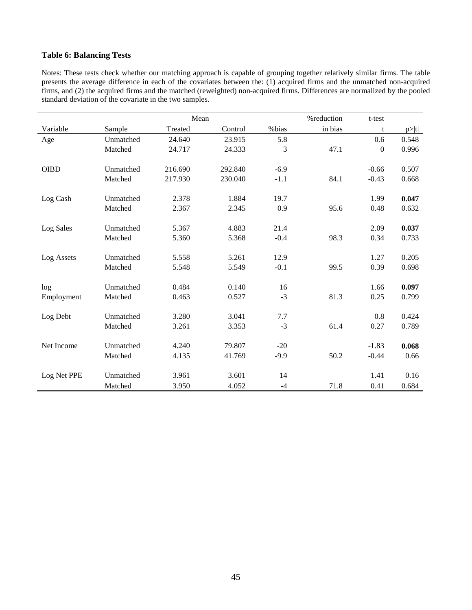# **Table 6: Balancing Tests**

Notes: These tests check whether our matching approach is capable of grouping together relatively similar firms. The table presents the average difference in each of the covariates between the: (1) acquired firms and the unmatched non-acquired firms, and (2) the acquired firms and the matched (reweighted) non-acquired firms. Differences are normalized by the pooled standard deviation of the covariate in the two samples.

|             |           | Mean    | %reduction | t-test |         |          |       |
|-------------|-----------|---------|------------|--------|---------|----------|-------|
| Variable    | Sample    | Treated | Control    | %bias  | in bias | t        | p> t  |
| Age         | Unmatched | 24.640  | 23.915     | 5.8    |         | 0.6      | 0.548 |
|             | Matched   | 24.717  | 24.333     | 3      | 47.1    | $\theta$ | 0.996 |
| <b>OIBD</b> | Unmatched | 216.690 | 292.840    | $-6.9$ |         | $-0.66$  | 0.507 |
|             | Matched   | 217.930 | 230.040    | $-1.1$ | 84.1    | $-0.43$  | 0.668 |
| Log Cash    | Unmatched | 2.378   | 1.884      | 19.7   |         | 1.99     | 0.047 |
|             | Matched   | 2.367   | 2.345      | 0.9    | 95.6    | 0.48     | 0.632 |
| Log Sales   | Unmatched | 5.367   | 4.883      | 21.4   |         | 2.09     | 0.037 |
|             | Matched   | 5.360   | 5.368      | $-0.4$ | 98.3    | 0.34     | 0.733 |
| Log Assets  | Unmatched | 5.558   | 5.261      | 12.9   |         | 1.27     | 0.205 |
|             | Matched   | 5.548   | 5.549      | $-0.1$ | 99.5    | 0.39     | 0.698 |
| log         | Unmatched | 0.484   | 0.140      | 16     |         | 1.66     | 0.097 |
| Employment  | Matched   | 0.463   | 0.527      | $-3$   | 81.3    | 0.25     | 0.799 |
| Log Debt    | Unmatched | 3.280   | 3.041      | 7.7    |         | 0.8      | 0.424 |
|             | Matched   | 3.261   | 3.353      | $-3$   | 61.4    | 0.27     | 0.789 |
| Net Income  | Unmatched | 4.240   | 79.807     | $-20$  |         | $-1.83$  | 0.068 |
|             | Matched   | 4.135   | 41.769     | $-9.9$ | 50.2    | $-0.44$  | 0.66  |
| Log Net PPE | Unmatched | 3.961   | 3.601      | 14     |         | 1.41     | 0.16  |
|             | Matched   | 3.950   | 4.052      | $-4$   | 71.8    | 0.41     | 0.684 |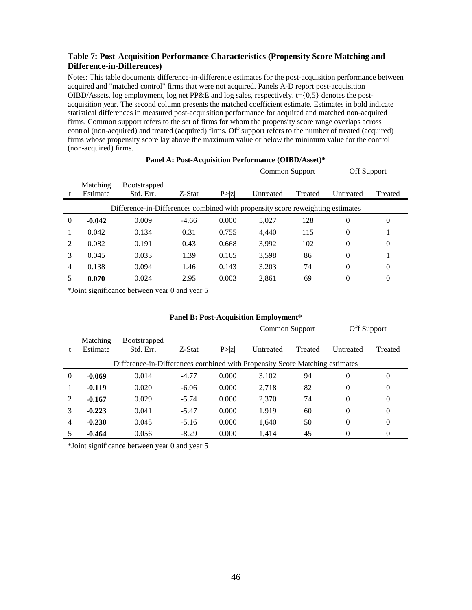# **Table 7: Post-Acquisition Performance Characteristics (Propensity Score Matching and Difference-in-Differences)**

Notes: This table documents difference-in-difference estimates for the post-acquisition performance between acquired and "matched control" firms that were not acquired. Panels A-D report post-acquisition OIBD/Assets, log employment, log net PP&E and log sales, respectively.  $t = \{0.5\}$  denotes the postacquisition year. The second column presents the matched coefficient estimate. Estimates in bold indicate statistical differences in measured post-acquisition performance for acquired and matched non-acquired firms. Common support refers to the set of firms for whom the propensity score range overlaps across control (non-acquired) and treated (acquired) firms. Off support refers to the number of treated (acquired) firms whose propensity score lay above the maximum value or below the minimum value for the control (non-acquired) firms.

|               |                                                                                |                                  |         |        | Common Support |         | Off Support |         |  |  |
|---------------|--------------------------------------------------------------------------------|----------------------------------|---------|--------|----------------|---------|-------------|---------|--|--|
|               | Matching<br>Estimate                                                           | <b>Bootstrapped</b><br>Std. Err. | Z-Stat  | P >  z | Untreated      | Treated | Untreated   | Treated |  |  |
|               | Difference-in-Differences combined with propensity score reweighting estimates |                                  |         |        |                |         |             |         |  |  |
| $\Omega$      | $-0.042$                                                                       | 0.009                            | $-4.66$ | 0.000  | 5,027          | 128     | $\Omega$    | 0       |  |  |
|               | 0.042                                                                          | 0.134                            | 0.31    | 0.755  | 4.440          | 115     | $\theta$    |         |  |  |
| $\mathcal{D}$ | 0.082                                                                          | 0.191                            | 0.43    | 0.668  | 3,992          | 102     | $\theta$    | 0       |  |  |
| 3             | 0.045                                                                          | 0.033                            | 1.39    | 0.165  | 3,598          | 86      | $\theta$    |         |  |  |
| 4             | 0.138                                                                          | 0.094                            | 1.46    | 0.143  | 3,203          | 74      | $\theta$    | 0       |  |  |
|               | 0.070                                                                          | 0.024                            | 2.95    | 0.003  | 2,861          | 69      | 0           | 0       |  |  |

# **Panel A: Post-Acquisition Performance (OIBD/Asset)\***

\*Joint significance between year 0 and year 5

|                                                                             |                      |                                  |         |        | Common Support |         | Off Support |          |
|-----------------------------------------------------------------------------|----------------------|----------------------------------|---------|--------|----------------|---------|-------------|----------|
|                                                                             | Matching<br>Estimate | <b>Bootstrapped</b><br>Std. Err. | Z-Stat  | P >  z | Untreated      | Treated | Untreated   | Treated  |
| Difference-in-Differences combined with Propensity Score Matching estimates |                      |                                  |         |        |                |         |             |          |
| $\Omega$                                                                    | $-0.069$             | 0.014                            | $-4.77$ | 0.000  | 3,102          | 94      | $\Omega$    | $\Omega$ |
|                                                                             | $-0.119$             | 0.020                            | $-6.06$ | 0.000  | 2,718          | 82      | $\theta$    | 0        |
| $\mathcal{D}_{\mathcal{L}}$                                                 | $-0.167$             | 0.029                            | $-5.74$ | 0.000  | 2,370          | 74      | $\theta$    | $\theta$ |
| 3                                                                           | $-0.223$             | 0.041                            | $-5.47$ | 0.000  | 1.919          | 60      | $\theta$    | $\theta$ |
| 4                                                                           | $-0.230$             | 0.045                            | $-5.16$ | 0.000  | 1,640          | 50      | $\Omega$    | 0        |
|                                                                             | $-0.464$             | 0.056                            | $-8.29$ | 0.000  | 1.414          | 45      | 0           | 0        |

# **Panel B: Post-Acquisition Employment\***

\*Joint significance between year 0 and year 5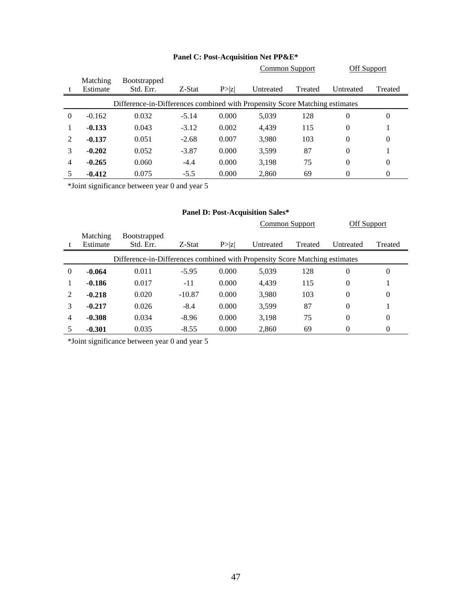|          |                                                                             |                                  |         |        | Common Support |         | Off Support |         |  |
|----------|-----------------------------------------------------------------------------|----------------------------------|---------|--------|----------------|---------|-------------|---------|--|
|          | <b>Matching</b><br>Estimate                                                 | <b>Bootstrapped</b><br>Std. Err. | Z-Stat  |        |                |         |             |         |  |
|          |                                                                             |                                  |         | P >  z | Untreated      | Treated | Untreated   | Treated |  |
|          | Difference-in-Differences combined with Propensity Score Matching estimates |                                  |         |        |                |         |             |         |  |
| $\Omega$ | $-0.162$                                                                    | 0.032                            | $-5.14$ | 0.000  | 5,039          | 128     | 0           | 0       |  |
|          | $-0.133$                                                                    | 0.043                            | $-3.12$ | 0.002  | 4.439          | 115     | $\theta$    |         |  |
| 2        | $-0.137$                                                                    | 0.051                            | $-2.68$ | 0.007  | 3,980          | 103     | $\theta$    | 0       |  |
| 3        | $-0.202$                                                                    | 0.052                            | $-3.87$ | 0.000  | 3,599          | 87      | $\theta$    |         |  |
| 4        | $-0.265$                                                                    | 0.060                            | $-4.4$  | 0.000  | 3,198          | 75      | $\theta$    | 0       |  |
|          | $-0.412$                                                                    | 0.075                            | $-5.5$  | 0.000  | 2,860          | 69      | 0           | 0       |  |

# **Panel C: Post-Acquisition Net PP&E\***

\*Joint significance between year 0 and year 5

#### **Panel D: Post-Acquisition Sales\***

|          |                                                                             |                      |          |        | Common Support |         | Off Support |          |  |  |
|----------|-----------------------------------------------------------------------------|----------------------|----------|--------|----------------|---------|-------------|----------|--|--|
|          | <b>Matching</b>                                                             | <b>B</b> ootstrapped |          |        |                |         |             |          |  |  |
|          | Estimate                                                                    | Std. Err.            | Z-Stat   | P >  Z | Untreated      | Treated | Untreated   | Treated  |  |  |
|          | Difference-in-Differences combined with Propensity Score Matching estimates |                      |          |        |                |         |             |          |  |  |
| $\Omega$ | $-0.064$                                                                    | 0.011                | $-5.95$  | 0.000  | 5,039          | 128     | $\theta$    | $\Omega$ |  |  |
|          | $-0.186$                                                                    | 0.017                | $-11$    | 0.000  | 4,439          | 115     | 0           |          |  |  |
| 2        | $-0.218$                                                                    | 0.020                | $-10.87$ | 0.000  | 3,980          | 103     | $\theta$    | $\theta$ |  |  |
| 3        | $-0.217$                                                                    | 0.026                | $-8.4$   | 0.000  | 3,599          | 87      | $\theta$    |          |  |  |
| 4        | $-0.308$                                                                    | 0.034                | $-8.96$  | 0.000  | 3,198          | 75      | $\theta$    | $\Omega$ |  |  |
|          | $-0.301$                                                                    | 0.035                | $-8.55$  | 0.000  | 2.860          | 69      | 0           | 0        |  |  |

\*Joint significance between year 0 and year 5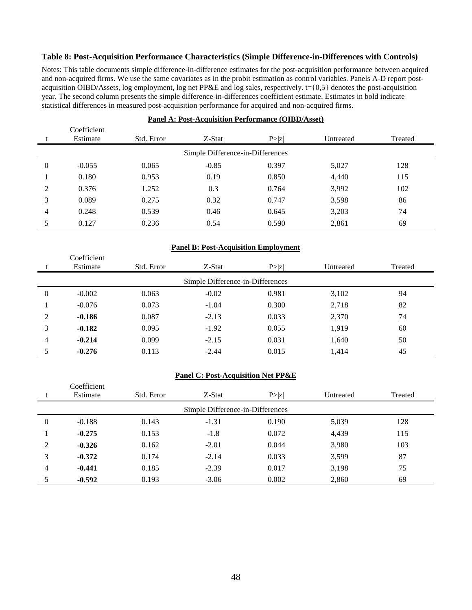### **Table 8: Post-Acquisition Performance Characteristics (Simple Difference-in-Differences with Controls)**

Notes: This table documents simple difference-in-difference estimates for the post-acquisition performance between acquired and non-acquired firms. We use the same covariates as in the probit estimation as control variables. Panels A-D report postacquisition OIBD/Assets, log employment, log net PP&E and log sales, respectively.  $t = \{0,5\}$  denotes the post-acquisition year. The second column presents the simple difference-in-differences coefficient estimate. Estimates in bold indicate statistical differences in measured post-acquisition performance for acquired and non-acquired firms.

|                | Coefficient<br>Estimate          | Std. Error | Z-Stat  | P >  z | Untreated | Treated |  |  |  |
|----------------|----------------------------------|------------|---------|--------|-----------|---------|--|--|--|
|                | Simple Difference-in-Differences |            |         |        |           |         |  |  |  |
| $\theta$       | $-0.055$                         | 0.065      | $-0.85$ | 0.397  | 5,027     | 128     |  |  |  |
|                | 0.180                            | 0.953      | 0.19    | 0.850  | 4,440     | 115     |  |  |  |
| $\overline{2}$ | 0.376                            | 1.252      | 0.3     | 0.764  | 3,992     | 102     |  |  |  |
| 3              | 0.089                            | 0.275      | 0.32    | 0.747  | 3,598     | 86      |  |  |  |
| 4              | 0.248                            | 0.539      | 0.46    | 0.645  | 3,203     | 74      |  |  |  |
|                | 0.127                            | 0.236      | 0.54    | 0.590  | 2,861     | 69      |  |  |  |

#### **Panel A: Post-Acquisition Performance (OIBD/Asset)**

#### **Panel B: Post-Acquisition Employment**

|                                  | Coefficient |            |         |        |           |         |  |  |
|----------------------------------|-------------|------------|---------|--------|-----------|---------|--|--|
|                                  | Estimate    | Std. Error | Z-Stat  | P >  z | Untreated | Treated |  |  |
| Simple Difference-in-Differences |             |            |         |        |           |         |  |  |
| $\theta$                         | $-0.002$    | 0.063      | $-0.02$ | 0.981  | 3,102     | 94      |  |  |
|                                  | $-0.076$    | 0.073      | $-1.04$ | 0.300  | 2,718     | 82      |  |  |
| 2                                | $-0.186$    | 0.087      | $-2.13$ | 0.033  | 2,370     | 74      |  |  |
| 3                                | $-0.182$    | 0.095      | $-1.92$ | 0.055  | 1,919     | 60      |  |  |
| 4                                | $-0.214$    | 0.099      | $-2.15$ | 0.031  | 1,640     | 50      |  |  |
|                                  | $-0.276$    | 0.113      | $-2.44$ | 0.015  | 1,414     | 45      |  |  |

#### **Panel C: Post-Acquisition Net PP&E**

|                | Coefficient<br>Estimate          | Std. Error | Z-Stat  | P >  z | Untreated | Treated |  |  |  |
|----------------|----------------------------------|------------|---------|--------|-----------|---------|--|--|--|
|                | Simple Difference-in-Differences |            |         |        |           |         |  |  |  |
| 0              | $-0.188$                         | 0.143      | $-1.31$ | 0.190  | 5,039     | 128     |  |  |  |
|                | $-0.275$                         | 0.153      | $-1.8$  | 0.072  | 4,439     | 115     |  |  |  |
| $\mathfrak{D}$ | $-0.326$                         | 0.162      | $-2.01$ | 0.044  | 3,980     | 103     |  |  |  |
| 3              | $-0.372$                         | 0.174      | $-2.14$ | 0.033  | 3,599     | 87      |  |  |  |
| 4              | $-0.441$                         | 0.185      | $-2.39$ | 0.017  | 3,198     | 75      |  |  |  |
|                | $-0.592$                         | 0.193      | $-3.06$ | 0.002  | 2,860     | 69      |  |  |  |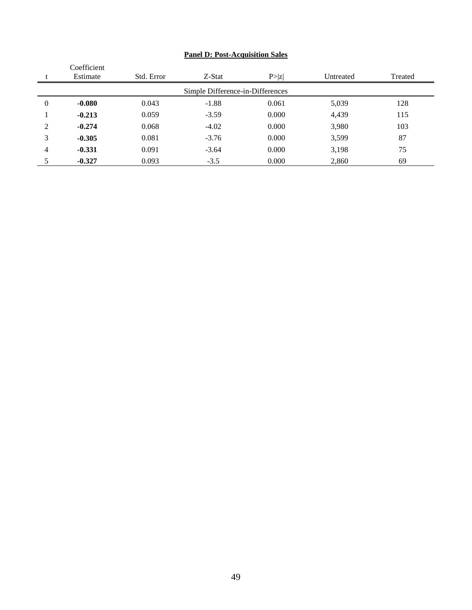|                | Coefficient |            |                                  |        |           |         |
|----------------|-------------|------------|----------------------------------|--------|-----------|---------|
|                | Estimate    | Std. Error | Z-Stat                           | P >  z | Untreated | Treated |
|                |             |            | Simple Difference-in-Differences |        |           |         |
| 0              | $-0.080$    | 0.043      | $-1.88$                          | 0.061  | 5,039     | 128     |
|                | $-0.213$    | 0.059      | $-3.59$                          | 0.000  | 4,439     | 115     |
| $\mathfrak{D}$ | $-0.274$    | 0.068      | $-4.02$                          | 0.000  | 3,980     | 103     |
| 3              | $-0.305$    | 0.081      | $-3.76$                          | 0.000  | 3,599     | 87      |
| 4              | $-0.331$    | 0.091      | $-3.64$                          | 0.000  | 3,198     | 75      |
|                | $-0.327$    | 0.093      | $-3.5$                           | 0.000  | 2,860     | 69      |

# **Panel D: Post-Acquisition Sales**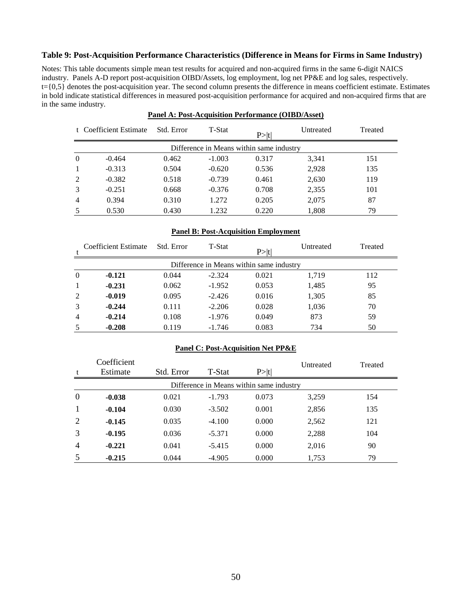# **Table 9: Post-Acquisition Performance Characteristics (Difference in Means for Firms in Same Industry)**

Notes: This table documents simple mean test results for acquired and non-acquired firms in the same 6-digit NAICS industry. Panels A-D report post-acquisition OIBD/Assets, log employment, log net PP&E and log sales, respectively.  $t = \{0,5\}$  denotes the post-acquisition year. The second column presents the difference in means coefficient estimate. Estimates in bold indicate statistical differences in measured post-acquisition performance for acquired and non-acquired firms that are in the same industry.

|          | t Coefficient Estimate                   | Std. Error | T-Stat   | P >  t | Untreated | Treated |  |  |  |  |
|----------|------------------------------------------|------------|----------|--------|-----------|---------|--|--|--|--|
|          | Difference in Means within same industry |            |          |        |           |         |  |  |  |  |
| $\theta$ | $-0.464$                                 | 0.462      | $-1.003$ | 0.317  | 3,341     | 151     |  |  |  |  |
|          | $-0.313$                                 | 0.504      | $-0.620$ | 0.536  | 2,928     | 135     |  |  |  |  |
| 2        | $-0.382$                                 | 0.518      | $-0.739$ | 0.461  | 2,630     | 119     |  |  |  |  |
|          | $-0.251$                                 | 0.668      | $-0.376$ | 0.708  | 2,355     | 101     |  |  |  |  |
| 4        | 0.394                                    | 0.310      | 1.272    | 0.205  | 2,075     | 87      |  |  |  |  |
|          | 0.530                                    | 0.430      | 1.232    | 0.220  | 1,808     | 79      |  |  |  |  |

#### **Panel A: Post-Acquisition Performance (OIBD/Asset)**

# **Panel B: Post-Acquisition Employment**

| Coefficient Estimate                     | Std. Error | <b>T-Stat</b> | P >  t | Untreated | Treated |  |  |  |  |  |
|------------------------------------------|------------|---------------|--------|-----------|---------|--|--|--|--|--|
| Difference in Means within same industry |            |               |        |           |         |  |  |  |  |  |
| $-0.121$                                 | 0.044      | $-2.324$      | 0.021  | 1.719     | 112     |  |  |  |  |  |
| $-0.231$                                 | 0.062      | $-1.952$      | 0.053  | 1,485     | 95      |  |  |  |  |  |
| $-0.019$                                 | 0.095      | $-2.426$      | 0.016  | 1,305     | 85      |  |  |  |  |  |
| $-0.244$                                 | 0.111      | $-2.206$      | 0.028  | 1,036     | 70      |  |  |  |  |  |
| $-0.214$                                 | 0.108      | $-1.976$      | 0.049  | 873       | 59      |  |  |  |  |  |
| $-0.208$                                 | 0.119      | $-1.746$      | 0.083  | 734       | 50      |  |  |  |  |  |
| $\mathbf{1}$                             | 5          |               |        |           |         |  |  |  |  |  |

#### **Panel C: Post-Acquisition Net PP&E**

|                | Coefficient                              |            |          |       | Untreated | Treated |  |  |  |
|----------------|------------------------------------------|------------|----------|-------|-----------|---------|--|--|--|
| t              | Estimate                                 | Std. Error | T-Stat   | P> t  |           |         |  |  |  |
|                | Difference in Means within same industry |            |          |       |           |         |  |  |  |
| $\theta$       | $-0.038$                                 | 0.021      | $-1.793$ | 0.073 | 3,259     | 154     |  |  |  |
| $\mathbf{1}$   | $-0.104$                                 | 0.030      | $-3.502$ | 0.001 | 2,856     | 135     |  |  |  |
| 2              | $-0.145$                                 | 0.035      | $-4.100$ | 0.000 | 2,562     | 121     |  |  |  |
| 3              | $-0.195$                                 | 0.036      | $-5.371$ | 0.000 | 2,288     | 104     |  |  |  |
| $\overline{4}$ | $-0.221$                                 | 0.041      | $-5.415$ | 0.000 | 2,016     | 90      |  |  |  |
| 5              | $-0.215$                                 | 0.044      | $-4.905$ | 0.000 | 1,753     | 79      |  |  |  |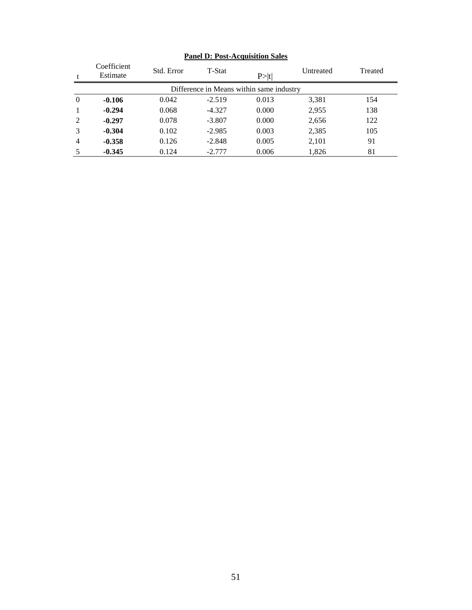|                | Coefficient<br>Estimate                  | Std. Error | T-Stat   | P >  t | Untreated | Treated |  |  |  |  |
|----------------|------------------------------------------|------------|----------|--------|-----------|---------|--|--|--|--|
|                | Difference in Means within same industry |            |          |        |           |         |  |  |  |  |
| $\overline{0}$ | $-0.106$                                 | 0.042      | $-2.519$ | 0.013  | 3,381     | 154     |  |  |  |  |
|                | $-0.294$                                 | 0.068      | $-4.327$ | 0.000  | 2,955     | 138     |  |  |  |  |
| 2              | $-0.297$                                 | 0.078      | $-3.807$ | 0.000  | 2,656     | 122     |  |  |  |  |
| 3              | $-0.304$                                 | 0.102      | $-2.985$ | 0.003  | 2,385     | 105     |  |  |  |  |
| $\overline{4}$ | $-0.358$                                 | 0.126      | $-2.848$ | 0.005  | 2,101     | 91      |  |  |  |  |
| 5              | $-0.345$                                 | 0.124      | $-2.777$ | 0.006  | 1,826     | 81      |  |  |  |  |

# **Panel D: Post-Acquisition Sales**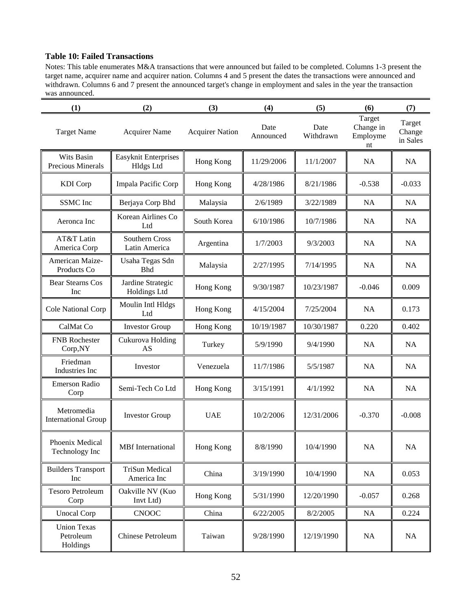# **Table 10: Failed Transactions**

Notes: This table enumerates M&A transactions that were announced but failed to be completed. Columns 1-3 present the target name, acquirer name and acquirer nation. Columns 4 and 5 present the dates the transactions were announced and withdrawn. Columns 6 and 7 present the announced target's change in employment and sales in the year the transaction was announced.

| (1)                                         | (2)                                      | (3)                    | (4)               | (5)               | (6)                                   | (7)                          |
|---------------------------------------------|------------------------------------------|------------------------|-------------------|-------------------|---------------------------------------|------------------------------|
| <b>Target Name</b>                          | <b>Acquirer Name</b>                     | <b>Acquirer Nation</b> | Date<br>Announced | Date<br>Withdrawn | Target<br>Change in<br>Employme<br>nt | Target<br>Change<br>in Sales |
| Wits Basin<br><b>Precious Minerals</b>      | Easyknit Enterprises<br><b>Hldgs Ltd</b> | Hong Kong              | 11/29/2006        | 11/1/2007         | <b>NA</b>                             | NA                           |
| <b>KDI</b> Corp                             | Impala Pacific Corp                      | Hong Kong              | 4/28/1986         | 8/21/1986         | $-0.538$                              | $-0.033$                     |
| SSMC Inc                                    | Berjaya Corp Bhd                         | Malaysia               | 2/6/1989          | 3/22/1989         | <b>NA</b>                             | <b>NA</b>                    |
| Aeronca Inc                                 | Korean Airlines Co<br>Ltd                | South Korea            | 6/10/1986         | 10/7/1986         | <b>NA</b>                             | <b>NA</b>                    |
| AT&T Latin<br>America Corp                  | Southern Cross<br>Latin America          | Argentina              | 1/7/2003          | 9/3/2003          | <b>NA</b>                             | <b>NA</b>                    |
| American Maize-<br>Products Co              | Usaha Tegas Sdn<br><b>Bhd</b>            | Malaysia               | 2/27/1995         | 7/14/1995         | <b>NA</b>                             | NA                           |
| <b>Bear Stearns Cos</b><br>Inc              | Jardine Strategic<br>Holdings Ltd        | Hong Kong              | 9/30/1987         | 10/23/1987        | $-0.046$                              | 0.009                        |
| Cole National Corp                          | Moulin Intl Hldgs<br>Ltd                 | Hong Kong              | 4/15/2004         | 7/25/2004         | <b>NA</b>                             | 0.173                        |
| CalMat Co                                   | <b>Investor Group</b>                    | Hong Kong              | 10/19/1987        | 10/30/1987        | 0.220                                 | 0.402                        |
| <b>FNB</b> Rochester<br>Corp,NY             | Cukurova Holding<br>AS                   | Turkey                 | 5/9/1990          | 9/4/1990          | <b>NA</b>                             | <b>NA</b>                    |
| Friedman<br>Industries Inc                  | Investor                                 | Venezuela              | 11/7/1986         | 5/5/1987          | <b>NA</b>                             | NA                           |
| Emerson Radio<br>Corp                       | Semi-Tech Co Ltd                         | Hong Kong              | 3/15/1991         | 4/1/1992          | <b>NA</b>                             | <b>NA</b>                    |
| Metromedia<br><b>International Group</b>    | <b>Investor Group</b>                    | <b>UAE</b>             | 10/2/2006         | 12/31/2006        | $-0.370$                              | $-0.008$                     |
| Phoenix Medical<br>Technology Inc           | <b>MBf</b> International                 | Hong Kong              | 8/8/1990          | 10/4/1990         | NA                                    | $\rm NA$                     |
| <b>Builders Transport</b><br>Inc            | <b>TriSun Medical</b><br>America Inc     | China                  | 3/19/1990         | 10/4/1990         | NA                                    | 0.053                        |
| <b>Tesoro Petroleum</b><br>Corp             | Oakville NV (Kuo<br>Invt Ltd)            | Hong Kong              | 5/31/1990         | 12/20/1990        | $-0.057$                              | 0.268                        |
| <b>Unocal Corp</b>                          | <b>CNOOC</b>                             | China                  | 6/22/2005         | 8/2/2005          | <b>NA</b>                             | 0.224                        |
| <b>Union Texas</b><br>Petroleum<br>Holdings | Chinese Petroleum                        | Taiwan                 | 9/28/1990         | 12/19/1990        | NA                                    | NA                           |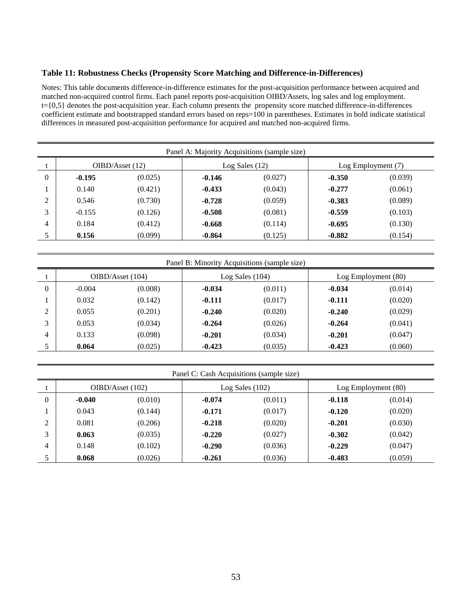### **Table 11: Robustness Checks (Propensity Score Matching and Difference-in-Differences)**

Notes: This table documents difference-in-difference estimates for the post-acquisition performance between acquired and matched non-acquired control firms. Each panel reports post-acquisition OIBD/Assets, log sales and log employment. t={0,5} denotes the post-acquisition year. Each column presents the propensity score matched difference-in-differences coefficient estimate and bootstrapped standard errors based on reps=100 in parentheses. Estimates in bold indicate statistical differences in measured post-acquisition performance for acquired and matched non-acquired firms.

| Panel A: Majority Acquisitions (sample size) |                 |         |          |                |          |                    |  |  |  |  |
|----------------------------------------------|-----------------|---------|----------|----------------|----------|--------------------|--|--|--|--|
|                                              | OIBD/Asset (12) |         |          | Log Sales (12) |          | Log Employment (7) |  |  |  |  |
| $\theta$                                     | $-0.195$        | (0.025) | $-0.146$ | (0.027)        | $-0.350$ | (0.039)            |  |  |  |  |
|                                              | 0.140           | (0.421) | $-0.433$ | (0.043)        | $-0.277$ | (0.061)            |  |  |  |  |
| $\overline{2}$                               | 0.546           | (0.730) | $-0.728$ | (0.059)        | $-0.383$ | (0.089)            |  |  |  |  |
| 3                                            | $-0.155$        | (0.126) | $-0.508$ | (0.081)        | $-0.559$ | (0.103)            |  |  |  |  |
| 4                                            | 0.184           | (0.412) | $-0.668$ | (0.114)        | $-0.695$ | (0.130)            |  |  |  |  |
|                                              | 0.156           | (0.099) | $-0.864$ | (0.125)        | $-0.882$ | (0.154)            |  |  |  |  |

|                | Panel B: Minority Acquisitions (sample size) |         |          |                 |          |                     |  |  |  |  |  |
|----------------|----------------------------------------------|---------|----------|-----------------|----------|---------------------|--|--|--|--|--|
|                | OIBD/Asset (104)                             |         |          | Log Sales (104) |          | Log Employment (80) |  |  |  |  |  |
| $\theta$       | $-0.004$                                     | (0.008) | $-0.034$ | (0.011)         | $-0.034$ | (0.014)             |  |  |  |  |  |
|                | 0.032                                        | (0.142) | $-0.111$ | (0.017)         | $-0.111$ | (0.020)             |  |  |  |  |  |
| $\mathfrak{D}$ | 0.055                                        | (0.201) | $-0.240$ | (0.020)         | $-0.240$ | (0.029)             |  |  |  |  |  |
| 3              | 0.053                                        | (0.034) | $-0.264$ | (0.026)         | $-0.264$ | (0.041)             |  |  |  |  |  |
| 4              | 0.133                                        | (0.098) | $-0.201$ | (0.034)         | $-0.201$ | (0.047)             |  |  |  |  |  |
|                | 0.064                                        | (0.025) | $-0.423$ | (0.035)         | $-0.423$ | (0.060)             |  |  |  |  |  |

| Panel C: Cash Acquisitions (sample size) |                  |         |          |                 |          |                     |  |  |  |
|------------------------------------------|------------------|---------|----------|-----------------|----------|---------------------|--|--|--|
|                                          | OIBD/Asset (102) |         |          | Log Sales (102) |          | Log Employment (80) |  |  |  |
| $\theta$                                 | $-0.040$         | (0.010) | $-0.074$ | (0.011)         | $-0.118$ | (0.014)             |  |  |  |
|                                          | 0.043            | (0.144) | $-0.171$ | (0.017)         | $-0.120$ | (0.020)             |  |  |  |
| 2                                        | 0.081            | (0.206) | $-0.218$ | (0.020)         | $-0.201$ | (0.030)             |  |  |  |
| 3                                        | 0.063            | (0.035) | $-0.220$ | (0.027)         | $-0.302$ | (0.042)             |  |  |  |
| 4                                        | 0.148            | (0.102) | $-0.290$ | (0.036)         | $-0.229$ | (0.047)             |  |  |  |
| 5                                        | 0.068            | (0.026) | $-0.261$ | (0.036)         | $-0.483$ | (0.059)             |  |  |  |